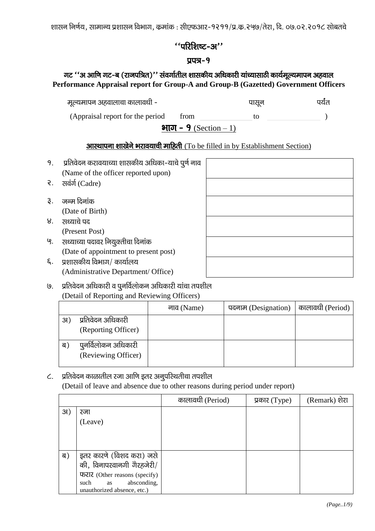शासन निर्णय, सामान्य प्रशासन विभाग, कुमांक : सीएफआर-१२११/प्र.कृ.२५७/तेरा, दि. ०७.०२.२०१८ सोबतचे

# $\lq$ 'ukk $\ell$ ka yakar''

#### $\overline{u}$ uzi $-9$

## गट ''अ आणि गट-ब (राजपत्रित)'' संवर्गातील शासकीय अधिकारी यांच्यासाठी कार्यमूल्यमापन अहवाल **Performance Appraisal report for Group-A and Group-B (Gazetted) Government Officers**

| मूल्यमापन अहवालाचा कालावधी -      |      | पासून | पर्यंत |
|-----------------------------------|------|-------|--------|
| (Appraisal report for the period) | trom |       |        |

# **आस्थापना शाखेने भरावयाची माहिती** (To be filled in by Establishment Section)

- 9. प्रतिवेदन करावयाच्या शासकीय अधिका-याचे पूर्ण नाव (Name of the officer reported upon) २. सवंर्ग (Cadre) ३. जन्म दिनांक (Date of Birth) ४. सध्याचे पद (Present Post) '९. सध्याच्या पदावर नियुक्तीचा दिनांक (Date of appointment to present post)  $\epsilon$ . प्रशासकीय विभाग/ कार्यालय (Administrative Department/ Office)
- $9.$  yतिवेदन अधिकारी व पूनर्विलोकन अधिकारी यांचा तपशील (Detail of Reporting and Reviewing Officers)

|     |                                            | नाव (Name) | पदनाम (Designation) | कालावधी (Period) |
|-----|--------------------------------------------|------------|---------------------|------------------|
| 3I) | प्रतिवेदन अधिकारी                          |            |                     |                  |
|     | (Reporting Officer)                        |            |                     |                  |
| ब   | पुनर्विलोकन अधिकारी<br>(Reviewing Officer) |            |                     |                  |
|     |                                            |            |                     |                  |

# $c.$  प्रतिवेदन काळातील रजा आणि इतर अनुपरिथतीचा तपशील (Detail of leave and absence due to other reasons during period under report)

|     |                                                       | कालावधी (Period) | प्रकार $(Type)$ | (Remark) शेरा |
|-----|-------------------------------------------------------|------------------|-----------------|---------------|
| 31) | रजा                                                   |                  |                 |               |
|     | (Leave)                                               |                  |                 |               |
|     |                                                       |                  |                 |               |
|     |                                                       |                  |                 |               |
| ब)  | इतर कारणे (विशद करा) जसे<br>की, विनापरवानगी गैरहजेरी/ |                  |                 |               |
|     | फरार (Other reasons (specify)                         |                  |                 |               |
|     | as absconding,<br>such<br>unauthorized absence, etc.) |                  |                 |               |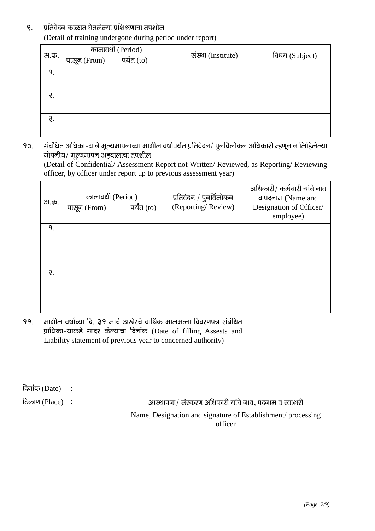#### ९. प्रतिवेदन काळात घेतलेल्या प्रशिक्षणाचा तपशील (Detail of training undergone during period under report)

| अ.क. | कालावधी (Period)<br><sup>न</sup> rom) पर्यंत (to)<br>पासून (From) | संस्था (Institute) | विषय (Subject) |
|------|-------------------------------------------------------------------|--------------------|----------------|
| 9.   |                                                                   |                    |                |
| ર.   |                                                                   |                    |                |
| ३.   |                                                                   |                    |                |

१०. संबंधित अधिका-याने मूल्यमापनाच्या मागील वर्षापर्यंत प्रतिवेदन/ पुनर्विलोकन अधिकारी म्हणून न लिहिलेल्या  $\overline{v}$ गोपनीय/ मूल्यमापन अहवालाचा तपशील

(Detail of Confidential/ Assessment Report not Written/ Reviewed, as Reporting/ Reviewing officer, by officer under report up to previous assessment year)

| अ.क. | कालावधी (Period)<br>पर्यंत (to)<br>पासून (From) | प्रतिवेदन / पुनर्विलोकन<br>(Reporting/Review) | अधिकारी/ कर्मचारी यांचे नाव<br>व पदनाम (Name and<br>Designation of Officer/<br>employee) |
|------|-------------------------------------------------|-----------------------------------------------|------------------------------------------------------------------------------------------|
| 9.   |                                                 |                                               |                                                                                          |
|      |                                                 |                                               |                                                                                          |
|      |                                                 |                                               |                                                                                          |
| ર.   |                                                 |                                               |                                                                                          |
|      |                                                 |                                               |                                                                                          |
|      |                                                 |                                               |                                                                                          |
|      |                                                 |                                               |                                                                                          |

 $19.$  मागील वर्षाच्या दि. ३१ मार्च अखेरचे वार्षिक मालमत्ता विवरणपत्र संबंधित प्राधिका-याकडे सादर केल्याचा दिनांक (Date of filling Assests and Liability statement of previous year to concerned authority)

दिनांक $(Date)$  :-

fdकाण (Place) :- vkcharel :- vkcharel :- vkcharel ; अस्थापना / संस्करण अधिकारी यांचे नाव, पदनाम व स्वाक्षरी

Name, Designation and signature of Establishment/ processing officer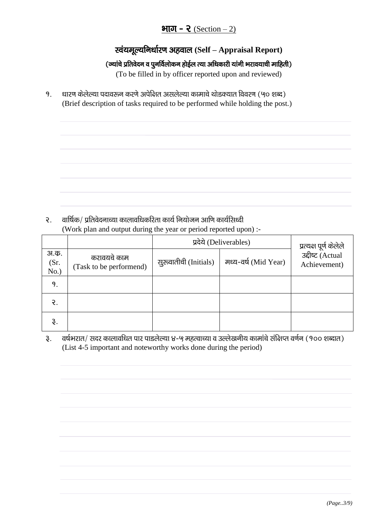# भाग - २ (Section  $- 2$ )

# **स्वंयमूल्यनिर्धारण अहवाल (Self – Appraisal Report)**

### (ज्यांचे प्रतिवेदन व पुनर्विलोकन होईल त्या अधिकारी यांनी भरावयाची माहिती)

(To be filled in by officer reported upon and reviewed)

9. धारण केलेल्या पदावरून करणे अपेक्षित असलेल्या कामाचे थोडक्यात विवरण (५० शब्द) (Brief description of tasks required to be performed while holding the post.)

 $\Omega$ . albi $\Phi$ / प्रतिवेदनाच्या कालावधिकरिता कार्य नियोजन आणि कार्यसिध्दी (Work plan and output during the year or period reported upon) :-

|                      |                                        | प्रदेये (Deliverables) | प्रत्यक्ष पूर्ण केलेले |                                  |
|----------------------|----------------------------------------|------------------------|------------------------|----------------------------------|
| अ.क.<br>(Sr.<br>No.) | करावयचे काम<br>(Task to be performend) | सुरुवातीची (Initials)  | मध्य-वर्ष (Mid Year)   | उद्दीष्ट (Actual<br>Achievement) |
| 9.                   |                                        |                        |                        |                                  |
| $\mathcal{E}$ .      |                                        |                        |                        |                                  |
| $\mathfrak{F}.$      |                                        |                        |                        |                                  |

३. वर्षभरात/ सदर कालावधित पार पाडलेल्या ४-५ महत्वाच्या व उल्लेखनीय कामांचे संक्षिप्त वर्णन (१०० शब्दात) (List 4-5 important and noteworthy works done during the period)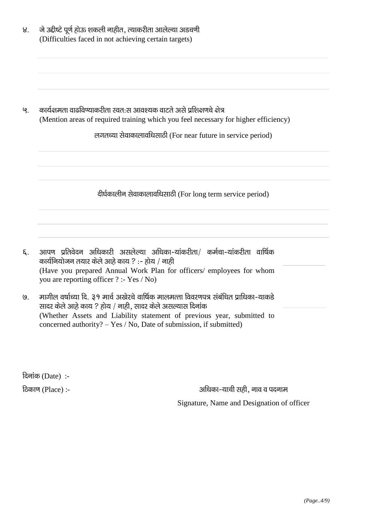| 8.               | जे उद्दीष्टे पूर्ण होऊ शकली नाहीत, त्याकरीता आलेल्या अडचणी<br>(Difficulties faced in not achieving certain targets)                                                                                                                         |  |  |
|------------------|---------------------------------------------------------------------------------------------------------------------------------------------------------------------------------------------------------------------------------------------|--|--|
| ଓ.               | कार्यक्षमता वाढविण्याकरीता स्वत:स आवश्यक वाटते असे प्रशिक्षणचे क्षेत्र<br>(Mention areas of required training which you feel necessary for higher efficiency)<br>लगतच्या सेवाकालावधिसाठी (For near future in service period)                |  |  |
|                  | दीर्घकालीन सेवाकालावधिसाठी (For long term service period)                                                                                                                                                                                   |  |  |
| ξ.               | आपण प्रतिवेदन अधिकारी असलेल्या अधिका-यांकरीता/ कर्मचा-यांकरीता वार्षिक<br>कार्यनियोजन तयार केले आहे काय ? :- होय / नाही<br>(Have you prepared Annual Work Plan for officers/ employees for whom<br>you are reporting officer ? :- Yes / No) |  |  |
| $\overline{Q}$ . | मागील वर्षाच्या दि. ३१ मार्च अखेरचे वार्षिक मालमत्ता विवरणपत्र संबंधित प्राधिका-याकडे<br>सादर केले आहे काय ? होय / नाही, सादर केले असल्यास दिनांक                                                                                           |  |  |

(Whether Assets and Liability statement of previous year, submitted to concerned authority?  $-$  Yes / No, Date of submission, if submitted)

दिनांक (Date):-

ठिकाण (Place) :-

अधिका-याची सही, नाव व पदनाम Signature, Name and Designation of officer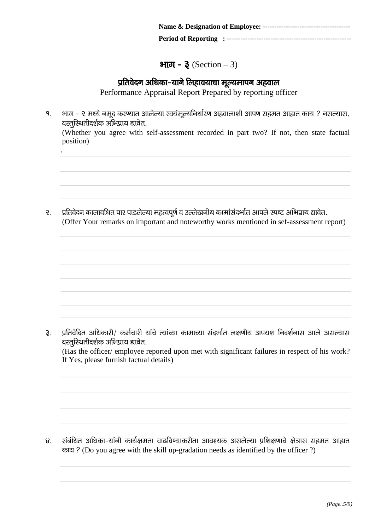# $\mathbf{\mathsf{H}}\overline{\mathsf{U}}$  –  $\mathbf{\mathsf{R}}$  (Section – 3)

# प्रतिवेदन अधिका-याने लिहावयाचा मूल्यमापन अहवाल

Performance Appraisal Report Prepared by reporting officer

१. भाग - २ मध्ये नमूद करण्यात आलेल्या स्वयंमूल्यनिर्धारण अहवालाशी आपण सहमत आहात काय ? नसल्यास,  $a$ रतुरिथतीदर्शक अभिप्राय द्यावेत.

(Whether you agree with self-assessment recorded in part two? If not, then state factual position)

२. प्रतिवेदन कालावधित पार पाडलेल्या महत्वपूर्ण व उल्लेखनीय कामांसंदर्भात आपले स्पष्ट अभिप्राय द्यावेत. (Offer Your remarks on important and noteworthy works mentioned in sef-assessment report)

३. प्रतिवेदित अधिकारी/ कर्मचारी यांचे त्यांच्या कामाच्या संदर्भात लक्षणीय अपयश निदर्शनास आले असल्यास वस्तूरिथतीदर्शक अभिप्राय द्यावेत.

(Has the officer/ employee reported upon met with significant failures in respect of his work? If Yes, please furnish factual details)

४. संबंधित अधिका-यांनी कार्यक्षमता वाढविण्याकरीता आवश्यक असलेल्या प्रशिक्षणाचे क्षेत्रास सहमत आहात काय ? (Do you agree with the skill up-gradation needs as identified by the officer ?)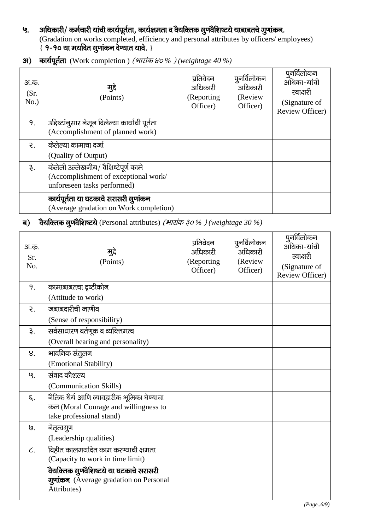### ५. अधिकारी/ कर्मचारी यांची कार्यपूर्तता, कार्यक्षमता व वैयक्तिक गुणवैशिष्टये याबाबतचे गुणांकन. (Gradation on works completed, efficiency and personal attributes by officers/ employees)  $\frac{1}{2}$  9-90 या मर्यादेत गुणांकन देप्यात यावे. }

| अ.क.<br>(Sr.<br>No.) | मुद्दे<br>(Points)                                                                                          | प्रतिवेदन<br>अधिकारी<br>(Reporting<br>Officer) | पूनर्विलोकन<br>अधिकारी<br>(Review<br>Officer) | पुनर्विलोकन<br>अधिका-यांची<br>स्वाक्षरी<br>(Signature of<br>Review Officer) |
|----------------------|-------------------------------------------------------------------------------------------------------------|------------------------------------------------|-----------------------------------------------|-----------------------------------------------------------------------------|
| 9.                   | उद्दिष्टांनुसार नेमून दिलेल्या कार्याची पूर्तता<br>(Accomplishment of planned work)                         |                                                |                                               |                                                                             |
| $\mathcal{R}$ .      | केलेल्या कामाचा दर्जा                                                                                       |                                                |                                               |                                                                             |
|                      | (Quality of Output)                                                                                         |                                                |                                               |                                                                             |
| રૂ.                  | केलेली उल्लेखनीय/ वैशिष्टेपूर्ण कामे<br>(Accomplishment of exceptional work/<br>unforeseen tasks performed) |                                                |                                               |                                                                             |
|                      | कार्यपूर्तता या घटकाचे सरासरी गुणांकन<br>(Average gradation on Work completion)                             |                                                |                                               |                                                                             |

31) कार्यपूर्तता (Work completion) (भारांक ४०%) (weightage 40 %)

ब) वैयक्तिक गुणवैशिष्टये (Personal attributes) (*भारांक ३०%)* (weightage 30 %)

| अ.क.<br>Sr.<br>No. | मुद्दे<br>(Points)                         | प्रतिवेदन<br>अधिकारी<br>(Reporting<br>Officer) | पुनर्विलोकन<br>अधिकारी<br>(Review<br>Officer) | पुनर्विलोकन<br>अधिका-यांची<br>स्वाक्षरी<br>(Signature of<br>Review Officer) |
|--------------------|--------------------------------------------|------------------------------------------------|-----------------------------------------------|-----------------------------------------------------------------------------|
| 9.                 | कामाबाबतचा दृष्टीकोन                       |                                                |                                               |                                                                             |
|                    | (Attitude to work)                         |                                                |                                               |                                                                             |
| $\mathcal{E}$ .    | जबाबदारीची जाणीव                           |                                                |                                               |                                                                             |
|                    | (Sense of responsibility)                  |                                                |                                               |                                                                             |
| $\mathfrak{F}.$    | सर्वसाधारण वर्तणूक व व्यक्तिमत्व           |                                                |                                               |                                                                             |
|                    | (Overall bearing and personality)          |                                                |                                               |                                                                             |
| 8.                 | भावनिक संतुलन                              |                                                |                                               |                                                                             |
|                    | (Emotional Stability)                      |                                                |                                               |                                                                             |
| ५.                 | संवाद कौशल्य                               |                                                |                                               |                                                                             |
|                    | (Communication Skills)                     |                                                |                                               |                                                                             |
| ξ.                 | नैतिक धैर्य आणि व्यावहारीक भूमिका घेण्याचा |                                                |                                               |                                                                             |
|                    | कल (Moral Courage and willingness to       |                                                |                                               |                                                                             |
|                    | take professional stand)                   |                                                |                                               |                                                                             |
| $\mathsf{Q}$ .     | नेतृत्वगुण                                 |                                                |                                               |                                                                             |
|                    | (Leadership qualities)                     |                                                |                                               |                                                                             |
| $\zeta$ .          | विहीत कालमर्यादेत काम करण्याची क्षमता      |                                                |                                               |                                                                             |
|                    | (Capacity to work in time limit)           |                                                |                                               |                                                                             |
|                    | वैयक्तिक गुण्वैशिष्टये या घटकाचे सरासरी    |                                                |                                               |                                                                             |
|                    | गुणांकन (Average gradation on Personal     |                                                |                                               |                                                                             |
|                    | Attributes)                                |                                                |                                               |                                                                             |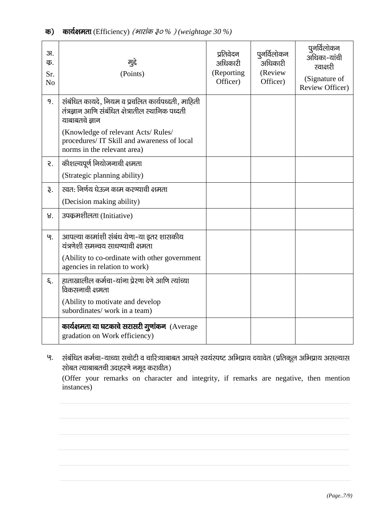| 3I.<br>क.<br>Sr.<br>N <sub>o</sub> | मुद्दे<br>(Points)                                                                                                       | प्रतिवेदन<br>अधिकारी<br>(Reporting<br>Officer) | पुनर्विलोकन<br>अधिकारी<br>(Review<br>Officer) | पुनर्विलोकन<br>अधिका-यांची<br>स्वाक्षरी<br>(Signature of<br>Review Officer) |
|------------------------------------|--------------------------------------------------------------------------------------------------------------------------|------------------------------------------------|-----------------------------------------------|-----------------------------------------------------------------------------|
| 9.                                 | संबंधित कायदे, नियम व प्रचलित कार्यपध्दती, माहिती<br>तंत्रज्ञान आणि संबंधित क्षेत्रातील स्थानिक पध्दती<br>याबाबतचे ज्ञान |                                                |                                               |                                                                             |
|                                    | (Knowledge of relevant Acts/Rules/<br>procedures/ IT Skill and awareness of local<br>norms in the relevant area)         |                                                |                                               |                                                                             |
| ર.                                 | कौशल्यपूर्ण नियोजनाची क्षमता                                                                                             |                                                |                                               |                                                                             |
|                                    | (Strategic planning ability)                                                                                             |                                                |                                               |                                                                             |
| રૂ.                                | स्वत: निर्णय घेऊन काम करण्याची क्षमता                                                                                    |                                                |                                               |                                                                             |
|                                    | (Decision making ability)                                                                                                |                                                |                                               |                                                                             |
| 8.                                 | उपकृमशीलता (Initiative)                                                                                                  |                                                |                                               |                                                                             |
| ଓ.                                 | आपल्या कामांशी संबंध येणा-या इतर शासकीय<br>यंत्रणेशी समन्वय साधण्याची क्षमता                                             |                                                |                                               |                                                                             |
|                                    | (Ability to co-ordinate with other government<br>agencies in relation to work)                                           |                                                |                                               |                                                                             |
| ξ.                                 | हाताखालील कर्मचा-यांना प्रेरणा देणे आणि त्यांच्या<br>विकसनाची क्षमता                                                     |                                                |                                               |                                                                             |
|                                    | (Ability to motivate and develop<br>subordinates/work in a team)                                                         |                                                |                                               |                                                                             |
|                                    | कार्यक्षमता या घटकाचे सरासरी गुणांकन (Average<br>gradation on Work efficiency)                                           |                                                |                                               |                                                                             |

५. संबंधित कर्मचा-याच्या सचोटी व चारित्र्याबाबत आपले स्वयंस्पष्ट अभिप्राय दयावेत (प्रतिकूल अभिप्राय असल्यास सोबत त्याबाबतची उदाहरणे नमूद करावीत)

(Offer your remarks on character and integrity, if remarks are negative, then mention instances)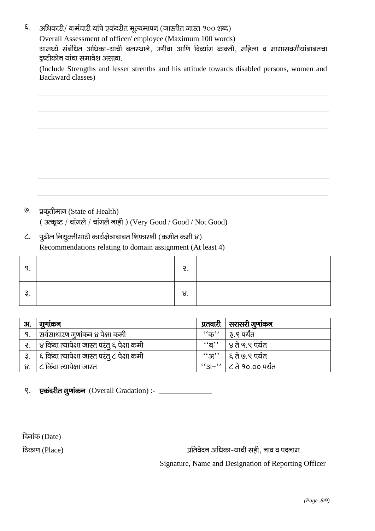अधिकारी/ कर्मचारी यांचे एकंदरीत मूल्यमापन (जास्तीत जास्त १०० शब्द) ξ.

Overall Assessment of officer/employee (Maximum 100 words)

यामध्ये संबंधित अधिका-याची बलस्थाने, उणीवा आणि दिव्यांग व्यक्ती, महिला व मागासवर्गीयांबाबतचा दृष्टीकोन यांचा समावेश असावा.

(Include Strengths and lesser strenths and his attitude towards disabled persons, women and Backward classes)

| ,我们也不会有什么。""我们的人,我们也不会有什么?""我们的人,我们也不会有什么?""我们的人,我们也不会有什么?""我们的人,我们也不会有什么?""我们的人 |  |  |
|----------------------------------------------------------------------------------|--|--|
|                                                                                  |  |  |
|                                                                                  |  |  |
|                                                                                  |  |  |
|                                                                                  |  |  |
|                                                                                  |  |  |

- $\mathsf{Q}$ . प्रकृतीमान (State of Health) (उत्कृष्ट / चांगले / चांगले नाही) (Very Good / Good / Not Good)
- पुढील नियुक्तीसाठी कार्यक्षेत्राबाबत शिफारशी (कमीत कमी ४)  $\mathcal{L}$ . Recommendations relating to domain assignment (At least 4)

| ¬<br>v. | u. |  |
|---------|----|--|

| 31. | गुणाकन                                      | प्रतवारी   सरासरी गुणांकन   |
|-----|---------------------------------------------|-----------------------------|
| 9.  | सर्वसाधारण गुणांकन ४ पेक्षा कमी             | ''क''   ३.९ पर्यंत          |
| ર.  | ४ किंवा त्यापेक्षा जास्त परंतु ६ पेक्षा कमी | ''ब''   ४ ते ५.९ पर्यंत     |
| રૂ. | ६ किंवा त्यापेक्षा जास्त परंतु ८ पेक्षा कमी | ''अ''   ६ ते ७.९ पर्यंत     |
| 8.  | ८ किंवा त्यापेक्षा जास्त                    | $``3H"   C$ ते १०.०० पर्यंत |

 $\mathsf{R}$ .

दिनांक (Date)

ठिकाण (Place)

प्रतिवेदन अधिका-याची सही, नाव व पदनाम Signature, Name and Designation of Reporting Officer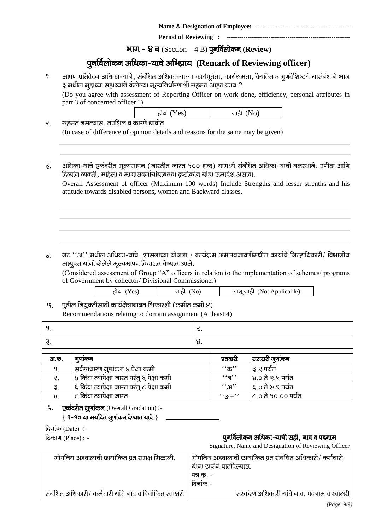**Name & Designation of Employee: --------------------------**

**Period of Reviewing :** 

**भाग - ४ ब** (Section – 4 B) पूनर्विलोकन (Review)

# iqufoZyksdu vf/kdk&;kps vfHkizk; **(Remark of Reviewing officer)**

१. आपण प्रतिवेदन अधिका-याने, संबंधित अधिका-याच्या कार्यपूर्तता, कार्यक्षमता, वैयक्तिक गुणवैशिष्टये यासंबंधाने भाग .<br>३ मधील मुद्दांच्या सहाय्याने केलेल्या मूल्यनिर्धारणाशी सहमत आहत काय ?

(Do you agree with assessment of Reporting Officer on work done, efficiency, personal attributes in part 3 of concerned officer ?)

| होय (Yes) | नाही (No) |
|-----------|-----------|
|-----------|-----------|

- २. सहमत नसल्यास, तपशिल व कारणे द्यावीत (In case of difference of opinion details and reasons for the same may be given)
- ३. अधिका-याचे एकंदरीत मुल्यमापन (जास्तीत जास्त १०० शब्द) यामध्ये संबंधित अधिका-याची बलस्थाने, उणीवा आणि दिव्यांग व्यक्ती, महिला व मागासवर्गीयांबाबतचा दृष्टीकोन यांचा समावेश असावा.

Overall Assessment of officer (Maximum 100 words) Include Strengths and lesser strenths and his attitude towards disabled persons, women and Backward classes.

 $8.$  गट "अ" मधील अधिका-याचे, शासनाच्या योजना / कार्यक्रम अंमलबजावणीमधील कार्याचे जिल्हाधिकारी/ विभागीय आयुक्त यांनी केलेले मूल्यमापन विचारात घेण्यात आले.

(Considered assessment of Group "A" officers in relation to the implementation of schemes/ programs of Government by collector/ Divisional Commissioner)

| होय (Yes) | नाही (No) | लागू नाही  (Not Applicable) |
|-----------|-----------|-----------------------------|
|           |           |                             |

 $\mathbf{g}$ . पूढील नियुक्तीसाठी कार्यक्षेत्राबाबत शिफारशी (कमीत कमी ४) Recommendations relating to domain assignment (At least 4)

| u. |
|----|

| <b>31.</b> क. | गुणाकन                                      | प्रतवारी                 | सरासरी गुणांकन                 |
|---------------|---------------------------------------------|--------------------------|--------------------------------|
|               | सर्वसाधारण गूणांकन ४ पेक्षा कमी             | $``$ क $"$               | ३.९ पर्यंत                     |
|               | ४ किंवा त्यापेक्षा जास्त परंतू ६ पेक्षा कमी | $\epsilon$ ʻন $\epsilon$ | <sup>।</sup> ४.० ते ५.९ पर्यंत |
|               | ६ किंवा त्यापेक्षा जास्त परंतु ८ पेक्षा कमी | (31, 3)                  | ६.० ते ७.९ पर्यंत              |
|               | ८ किंवा त्यापेक्षा जास्त                    | $``3+"$                  | ८.० ते १०.०० पर्यंत            |

६. एकंदरीत गूणांकन (Overall Gradation) :- $\{9-9$ ० या मर्यादेत गूणांकन देण्यात यावे.}

| दिनांक (Date):-   |  |
|-------------------|--|
| ठिकाण (Place) : - |  |

#### पूनर्विलोकन अधिका-याची सही, नाव व पदनाम

Signature, Name and Designation of Reviewing Officer

| गोपनिय अहवालाची छायांकित प्रत समक्ष मिळाली.              | गोपनिय अहवालाची छायांकित प्रत संबंधित अधिकारी/ कर्मचारी<br>यांना डाकेने पाठविल्यास. |
|----------------------------------------------------------|-------------------------------------------------------------------------------------|
|                                                          | पत्र क. -                                                                           |
|                                                          | दिनांक -                                                                            |
| संबंधित अधिकारी/ कर्मचारी यांचे नाव व दिनांकित स्वाक्षरी | सरकंरण अधिकारी यांचे नाव, पदनाम व स्वाक्षरी                                         |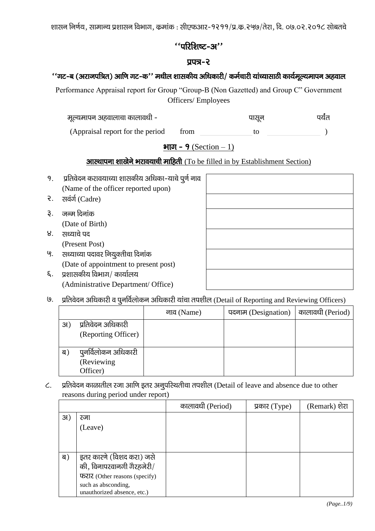शासन निर्णय, सामान्य प्रशासन विभाग, कुमांक : सीएफआर-१२११/प्र.कृ.२५७/तेरा, दि. ०७.०२.२०१८ सोबतचे

### $\lq$ 'ukk $\ell$ ka yakar''

### प्रपत्र-२

### $\cdot^\epsilon$ गट-ब (अराजपत्रित) आणि गट-क $\cdot^\prime$  मधील शासकीय अधिकारी/ कर्मचारी यांच्यासाठी कार्यमूल्यमापन अहवाल

Performance Appraisal report for Group "Group-B (Non Gazetted) and Group C" Government Officers/ Employees

| मूल्यमापन अहवालाचा कालावधी - | पासन | पर्यंत |
|------------------------------|------|--------|
|                              |      |        |

(Appraisal report for the period from to )  $\overline{\phantom{0}}$ 

### भाग -  $9$  (Section  $-1$ )

# **आस्थापना शाखेने भरावयाची माहिती** (To be filled in by Establishment Section)

- 9. प्रतिवेदन करावयाच्या शासकीय अधिका-याचे पूर्ण नाव (Name of the officer reported upon)
- २. सवंर्ग (Cadre)
- ३. जन्म दिनांक (Date of Birth)
- ४. सध्याचे पद (Present Post)
- '९. सध्याच्या पदावर नियुक्तीचा दिनांक (Date of appointment to present post)
- $\xi$ . प्रशासकीय विभाग/ कार्यालय (Administrative Department/ Office)

9. प्रतिवेदन अधिकारी व पूनर्विलोकन अधिकारी यांचा तपशील (Detail of Reporting and Reviewing Officers)

|     |                     | नाव (Name) | पदनाम (Designation) | कालावधी (Period) |
|-----|---------------------|------------|---------------------|------------------|
| 31) | प्रतिवेदन अधिकारी   |            |                     |                  |
|     | (Reporting Officer) |            |                     |                  |
|     |                     |            |                     |                  |
| ब)  | पुनर्विलोकन अधिकारी |            |                     |                  |
|     | (Reviewing          |            |                     |                  |
|     | Officer)            |            |                     |                  |

C. प्रतिवेदन काळातील रजा आणि इतर अनूपरिथतीचा तपशील (Detail of leave and absence due to other reasons during period under report)

|     |                               | कालावधी (Period) | प्रकार $(Type)$ | (Remark) शेरा |
|-----|-------------------------------|------------------|-----------------|---------------|
| 31) | रजा                           |                  |                 |               |
|     | (Leave)                       |                  |                 |               |
|     |                               |                  |                 |               |
|     |                               |                  |                 |               |
| ब)  | इतर कारणे (विशद करा) जसे      |                  |                 |               |
|     | की, विनापरवानगी गैरहजेरी/     |                  |                 |               |
|     | फरार (Other reasons (specify) |                  |                 |               |
|     | such as absconding,           |                  |                 |               |
|     | unauthorized absence, etc.)   |                  |                 |               |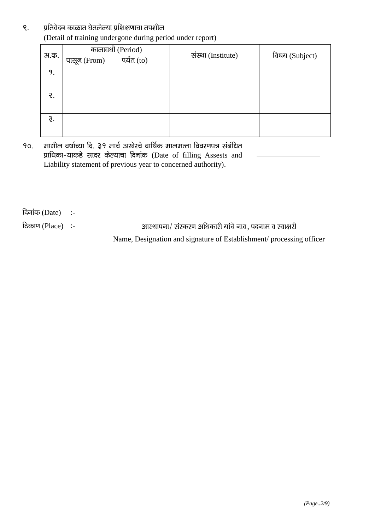# ९. yतिवेदन काळात घेतलेल्या प्रशिक्षणाचा तपशील (Detail of training undergone during period under report)

| अ.क. | कालावधी (Period)<br>नेrom) पर्यंत (to)<br>पासून (From) | संस्था (Institute) | विषय (Subject) |
|------|--------------------------------------------------------|--------------------|----------------|
| 9.   |                                                        |                    |                |
| ર.   |                                                        |                    |                |
| રૂ.  |                                                        |                    |                |

90. मागील वर्षाच्या दि. ३१ मार्च अखेरचे वार्षिक मालमत्ता विवरणपत्र संबंधित प्राधिका-याकडे सादर केल्याचा दिनांक (Date of filling Assests and Liability statement of previous year to concerned authority).

 $\overline{a}$ नांक (Date) :-

fdकाण (Place) :- vkchare inuke sure all allegration in the sure of the sure of the sure of the sure of the con

Name, Designation and signature of Establishment/ processing officer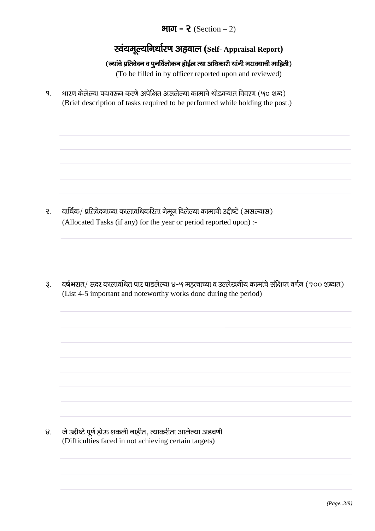# भाग - २  $(Section - 2)$

स्वंयमूल्यनिर्धारण अहवाल (Self- Appraisal Report)

### (ज्यांचे प्रतिवेदन व पुनर्विलोकन होईल त्या अधिकारी यांनी भरावयाची माहिती)

(To be filled in by officer reported upon and reviewed)

9. धारण केलेल्या पदावरून करणे अपेक्षित असलेल्या कामाचे थोडक्यात विवरण (५० शब्द) (Brief description of tasks required to be performed while holding the post.)

- वार्षिक/ प्रतिवेदनाच्या कालावधिकरिता नेमून दिलेल्या कामाची उद्दीष्टे (असल्यास)  $\mathcal{E}$ . (Allocated Tasks (if any) for the year or period reported upon) :-
- वर्षभरात/ सदर कालावधित पार पाडलेल्या ४-५ महत्वाच्या व उल्लेखनीय कामांचे संक्षिप्त वर्णन (१०० शब्दात)  $\mathfrak{F}$ . (List 4-5 important and noteworthy works done during the period)

जे उद्दीष्टे पूर्ण होऊ शकली नाहीत, त्याकरीता आलेल्या अडचणी  $8<sub>1</sub>$ (Difficulties faced in not achieving certain targets)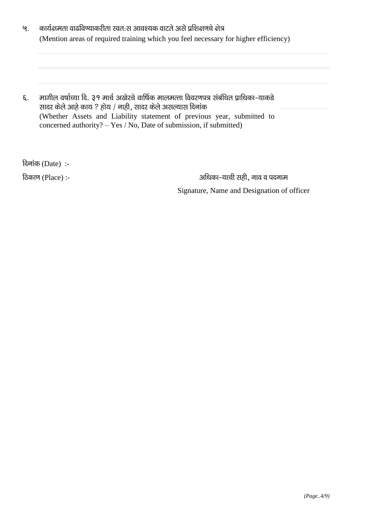- कार्यक्षमता वाढविण्याकरीता स्वतःस आवश्यक वाटते असे प्रशिक्षणचे क्षेत्र  $\mathcal{G}$ . (Mention areas of required training which you feel necessary for higher efficiency)
- मागील वर्षाच्या दि. ३१ मार्च अखेरचे वार्षिक मालमत्ता विवरणपत्र संबंधित प्राधिका-याकडे ξ. सादर केले आहे काय ? होय / नाही, सादर केले असल्यास दिनांक (Whether Assets and Liability statement of previous year, submitted to concerned authority? - Yes / No, Date of submission, if submitted)

दिनांक (Date):-

टिकाण (Place) :-

अधिका-याची सही, नाव व पदनाम Signature, Name and Designation of officer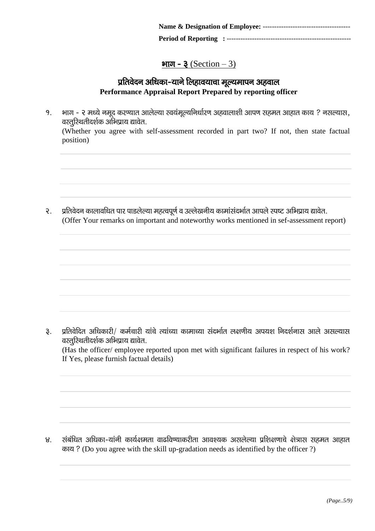**Period of Reporting : ------------------------------**

### <u>भाग -  $3$  (Section – 3)</u>

### प्रतिवेदन अधिका-याने लिहावयाचा मूल्यमापन अहवाल **Performance Appraisal Report Prepared by reporting officer**

१. भाग - २ मध्ये नमूद करण्यात आलेल्या स्वयंमूल्यनिर्धारण अहवालाशी आपण सहमत आहात काय ? नसल्यास, वस्तुरिथतीदर्शक अभिप्राय द्यावेत. (Whether you agree with self-assessment recorded in part two? If not, then state factual position)

२. प्रतिवेदन कालावधित पार पाडलेल्या महत्वपूर्ण व उल्लेखनीय कामांसंदर्भात आपले स्पष्ट अभिप्राय द्यावेत. (Offer Your remarks on important and noteworthy works mentioned in sef-assessment report)

3. प्रतिवेदित अधिकारी/ कर्मचारी यांचे त्यांच्या कामाच्या संदर्भात लक्षणीय अपयश निदर्शनास आले असल्यास वस्तूरिथतीदर्शक अभिप्राय द्यावेत.

(Has the officer/ employee reported upon met with significant failures in respect of his work? If Yes, please furnish factual details)

४. संबंधित अधिका-यांनी कार्यक्षमता वाढविण्याकरीता आवश्यक असलेल्या प्रशिक्षणाचे क्षेत्रास सहमत आहात काय ? (Do you agree with the skill up-gradation needs as identified by the officer ?)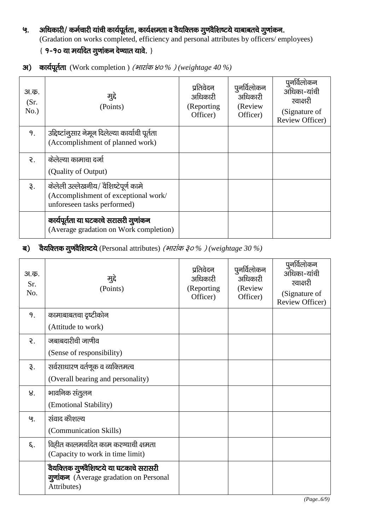# ५. अधिकारी/ कर्मचारी यांची कार्यपूर्तता, कार्यक्षमता व वैयक्तिक गुणवैशिष्टये याबाबतचे गुणांकन. (Gradation on works completed, efficiency and personal attributes by officers/ employees)  $\{9 - 90$  या मर्यादेत गुणांकन देण्यात यावे. }

| अ.क.<br>(Sr.<br>No.) | मुद्दे<br>(Points)                                                                                          | प्रतिवेदन<br>अधिकारी<br>(Reporting)<br>Officer) | पुनर्विलोकन<br>अधिकारी<br>(Review<br>Officer) | पूनर्विलोकन<br>अधिका-यांची<br>स्वाक्षरी<br>(Signature of<br>Review Officer) |
|----------------------|-------------------------------------------------------------------------------------------------------------|-------------------------------------------------|-----------------------------------------------|-----------------------------------------------------------------------------|
| 9.                   | उद्दिष्टांनूसार नेमून दिलेल्या कार्याची पूर्तता<br>(Accomplishment of planned work)                         |                                                 |                                               |                                                                             |
| $\mathcal{R}$ .      | केलेल्या कामाचा दर्जा<br>(Quality of Output)                                                                |                                                 |                                               |                                                                             |
| રૂ.                  | केलेली उल्लेखनीय/ वैशिष्टेपूर्ण कामे<br>(Accomplishment of exceptional work/<br>unforeseen tasks performed) |                                                 |                                               |                                                                             |
|                      | कार्यपूर्तता या घटकाचे सरासरी गुणांकन<br>(Average gradation on Work completion)                             |                                                 |                                               |                                                                             |

31) कार्यपूर्तता (Work completion) (भारांक ४०%) (weightage 40 %)

# ब) वैयक्तिक गुणवैशिष्टये (Personal attributes) (*भारांक ३०%)* (weightage 30 %)

| अ.क.<br>Sr.<br>No. | मुद्दे<br>(Points)                                                                              | प्रतिवेदन<br>अधिकारी<br>(Reporting<br>Officer) | पुनर्विलोकन<br>अधिकारी<br>(Review<br>Officer) | पुनर्विलोकन<br>अधिका-यांची<br>स्वाक्षरी<br>(Signature of<br>Review Officer) |
|--------------------|-------------------------------------------------------------------------------------------------|------------------------------------------------|-----------------------------------------------|-----------------------------------------------------------------------------|
| 9.                 | कामाबाबतचा दृष्टीकोन                                                                            |                                                |                                               |                                                                             |
|                    | (Attitude to work)                                                                              |                                                |                                               |                                                                             |
| ₹.                 | जबाबदारीची जाणीव                                                                                |                                                |                                               |                                                                             |
|                    | (Sense of responsibility)                                                                       |                                                |                                               |                                                                             |
| રૂ.                | सर्वसाधारण वर्तणूक व व्यक्तिमत्व                                                                |                                                |                                               |                                                                             |
|                    | (Overall bearing and personality)                                                               |                                                |                                               |                                                                             |
| 8 <sub>1</sub>     | भावनिक संतुलन                                                                                   |                                                |                                               |                                                                             |
|                    | (Emotional Stability)                                                                           |                                                |                                               |                                                                             |
| ଓ.                 | संवाद कौशल्य                                                                                    |                                                |                                               |                                                                             |
|                    | (Communication Skills)                                                                          |                                                |                                               |                                                                             |
| ξ.                 | विहीत कालमर्यादेत काम करण्याची क्षमता                                                           |                                                |                                               |                                                                             |
|                    | (Capacity to work in time limit)                                                                |                                                |                                               |                                                                             |
|                    | वैयक्तिक गुणवैशिष्टये या घटकाचे सरासरी<br>गुणांकन (Average gradation on Personal<br>Attributes) |                                                |                                               |                                                                             |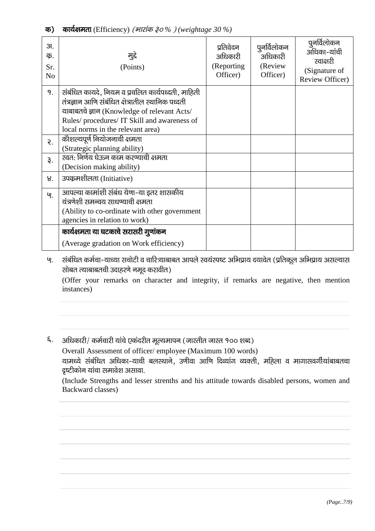| 3I.<br>क.<br>Sr.<br>N <sub>o</sub> | मुद्दे<br>(Points)                                                                                                                                                                                                                         | प्रतिवेदन<br>अधिकारी<br>(Reporting<br>Officer) | पूनर्विलोकन<br>अधिकारी<br>(Review<br>Officer) | पुनर्विलोकन<br>अधिका-यांची<br>स्वाक्षरी<br>(Signature of<br>Review Officer) |
|------------------------------------|--------------------------------------------------------------------------------------------------------------------------------------------------------------------------------------------------------------------------------------------|------------------------------------------------|-----------------------------------------------|-----------------------------------------------------------------------------|
| 9.                                 | संबंधित कायदे, नियम व प्रचलित कार्यपध्दती, माहिती<br>तंत्रज्ञान आणि संबंधित क्षेत्रातील स्थानिक पध्दती<br>याबाबतचे ज्ञान (Knowledge of relevant Acts/<br>Rules/ procedures/ IT Skill and awareness of<br>local norms in the relevant area) |                                                |                                               |                                                                             |
| $\mathcal{E}$ .                    | कोशल्यपूर्ण नियोजनाची क्षमता<br>(Strategic planning ability)                                                                                                                                                                               |                                                |                                               |                                                                             |
| 3.                                 | स्वत: निर्णय घेऊन काम करण्याची क्षमता<br>(Decision making ability)                                                                                                                                                                         |                                                |                                               |                                                                             |
| 8.                                 | उपकृमशीलता (Initiative)                                                                                                                                                                                                                    |                                                |                                               |                                                                             |
| ଓ.                                 | आपल्या कामांशी संबंध येणा-या इतर शासकीय<br>यंत्रणेशी समन्वय साधण्याची क्षमता<br>(Ability to co-ordinate with other government<br>agencies in relation to work)                                                                             |                                                |                                               |                                                                             |
|                                    | कार्यक्षमता या घटकाचे सरासरी गुणांकन                                                                                                                                                                                                       |                                                |                                               |                                                                             |
|                                    | (Average gradation on Work efficiency)                                                                                                                                                                                                     |                                                |                                               |                                                                             |

५. संबंधित कर्मचा-याच्या सचोटी व चारित्र्याबाबत आपले स्वयंस्पष्ट अभिप्राय दयावेत (प्रतिकूल अभिप्राय असल्यास सोबत त्याबाबतची उदाहरणे नमूद करावीत)

(Offer your remarks on character and integrity, if remarks are negative, then mention instances)

६. अधिकारी/ कर्मचारी यांचे एकंदरीत मूल्यमापन (जास्तीत जास्त १०० शब्द)

Overall Assessment of officer/employee (Maximum 100 words)

यामध्ये संबंधित अधिका-याची बलस्थाने, उणीवा आणि दिव्यांग व्यक्ती, महिला व मागासवर्गीयांबाबतचा दृष्टीकोन यांचा समावेश असावा.

(Include Strengths and lesser strenths and his attitude towards disabled persons, women and Backward classes)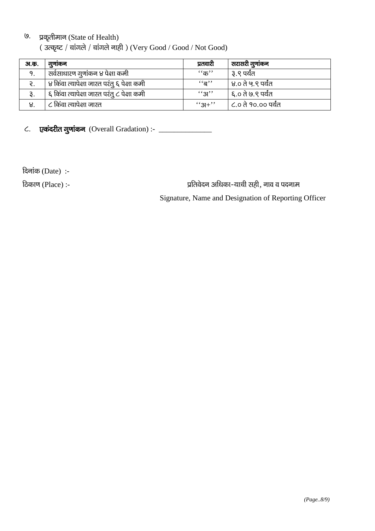# <sup>(9.</sup> प्रकृतीमान (State of Health)

( $3$ ल्कृष्ट / चांगले / चांगले नाही) (Very Good / Good / Not Good)

| अ.क. | गुणाकन                                        | प्रतवारी             | सरासरी गुणांकन      |
|------|-----------------------------------------------|----------------------|---------------------|
| 9.   | सर्वसाधारण गुणांकन ४ पेक्षा कमी               | $``\overline{\Phi}"$ | ३.९ पर्यंत          |
| ર.   | , ४ किंवा त्यापेक्षा जास्त परंतु ६ पेक्षा कमी | $\mathfrak{g}$       | ४.० ते ५.९ पर्यंत   |
| રૂ.  | ६ किंवा त्यापेक्षा जास्त परंतु ८ पेक्षा कमी   | ``31"                | ६.० ते ७.९ पर्यंत   |
| ୱ.   | ८ किंवा त्यापेक्षा जास्त                      | $``3+"$              | ८.० ते १०.०० पर्यंत |

 $\epsilon$ . एकंदरीत गुणांकन (Overall Gradation) :-  $\frac{1}{\epsilon}$ 

 $f$ दिनांक (Date):-

fadation (Place) :- izfromation in the state of the state of the state of the state of the state of the state o Signature, Name and Designation of Reporting Officer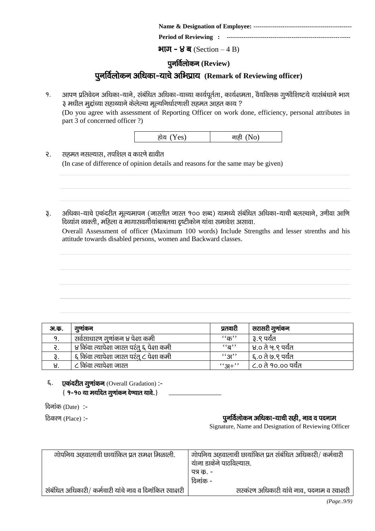|--|--|--|--|

**Period of Reviewing : ------------------------------**

#### $H\overline{u} - g\overline{u}$  (Section – 4 B)

### **पुनर्विलोकन (Review)**

# पुनर्विलोकन अधिका-याचे अभिप्राय**् Remark of Reviewing officer**)

१. अापण प्रतिवेदन अधिका-याने, संबंधित अधिका-याच्या कार्यपूर्तता, कार्यक्षमता, वैयक्तिक गूणवैशिष्टये यासंबंधाने भाग ३ मधील मुद्दांच्या सहाय्याने केलेल्या मूल्यनिर्धारणाशी सहमत आहत काय ?

(Do you agree with assessment of Reporting Officer on work done, efficiency, personal attributes in part 3 of concerned officer ?)

- २. सहमत नसल्यास, तपशिल व कारणे द्यावीत (In case of difference of opinion details and reasons for the same may be given)
- ३. अधिका-याचे एकंदरीत मूल्यमापन (जास्तीत जास्त १०० शब्द) यामध्ये संबंधित अधिका-याची बलस्थाने, उणीवा आणि दिव्यांग व्यक्ती, महिला व मागासवर्गीयांबाबतचा दृष्टीकोन यांचा समावेश असावा.

Overall Assessment of officer (Maximum 100 words) Include Strengths and lesser strenths and his attitude towards disabled persons, women and Backward classes.

| अ.क. | गुणाकन                                      | प्रतवारी                   | सरासरी गुणांकन      |
|------|---------------------------------------------|----------------------------|---------------------|
|      | सवेसाधारण गुणांकन ४ पेक्षा कमी              | $``$ क $"$                 | ३.९ पर्यंत          |
|      | ४ किंवा त्यापेक्षा जास्त परंतू ६ पेक्षा कमी | $\cdot$ 'ন্ত''             | ' ४.० ते ५.९ पर्यंत |
|      | ६ किंवा त्यापेक्षा जास्त परंतु ८ पेक्षा कमी | $\mathcal{L}(\mathcal{A})$ | ६.० ते ७.९ पर्यंत   |
| 8.   | ८ किंवा त्यापेक्षा जास्त                    | $``3+"$                    | ८.० ते १०.०० पर्यंत |

६. एकंदरीत गूणांकन (Overall Gradation) :- $\{9 - 90$  या मर्यादेत गूणांकन देप्यात यावे.}

 $f$ दिनांक (Date):-

#### fdकाण (Place) :- iquestion of intervals and the control of the control of the control of the control of the co

Signature, Name and Designation of Reviewing Officer

| गोपनिय अहवालाची छायांकित प्रत समक्ष मिळाली.              | गोपनिय अहवालाची छायांकित प्रत संबंधित अधिकारी/ कर्मचारी<br>यांना डाकेने पाठविल्यास. |
|----------------------------------------------------------|-------------------------------------------------------------------------------------|
|                                                          | पत्र क. -                                                                           |
|                                                          | दिनांक -                                                                            |
| संबंधित अधिकारी/ कर्मचारी यांचे नाव व दिनांकित स्वाक्षरी | सरकंरण अधिकारी यांचे नाव, पदनाम व स्वाक्षरी                                         |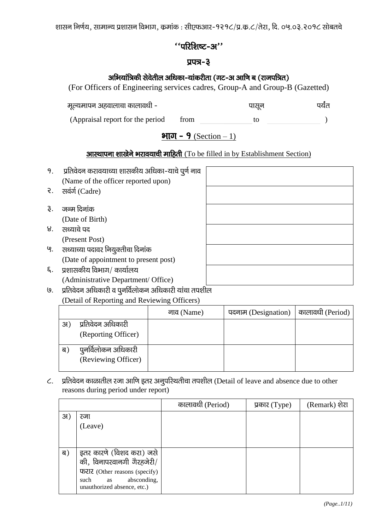शासन निर्णय, सामान्य प्रशासन विभाग, कमांक : सीएफआर-१२१८/प्र.क.८/तेरा, दि. ०५.०३.२०१८ सोबतचे

### $\lq$ 'ukken $\mathbf x$ - $\mathbf x$ ''

### $\overline{u}$ uzi $-3$

# अभियांत्रिकी सेवेतील अधिका-यांकरीता (गट-अ आणि ब (राजपत्रित)

(For Officers of Engineering services cadres, Group-A and Group-B (Gazetted)

| मूल्यमापन अहवालाचा कालावधी - | पासन |  |
|------------------------------|------|--|
|                              |      |  |

(Appraisal report for the period from to to )  $\overline{\phantom{0}}$ 

# भाग - 9 (Section – 1)

# **आस्थापना शाखेने भरावयाची माहिती** (To be filled in by Establishment Section)

| 9.              | प्रतिवेदन करावयाच्या शासकीय अधिका-याचे पूर्ण नाव |  |
|-----------------|--------------------------------------------------|--|
|                 | (Name of the officer reported upon)              |  |
| $\mathcal{R}$ . | सवंर्ग (Cadre)                                   |  |
|                 |                                                  |  |
| 3.              | जन्म दिनांक                                      |  |
|                 | (Date of Birth)                                  |  |
| 8.              | सध्याचे पद                                       |  |
|                 | (Present Post)                                   |  |
| ଓ.              | सध्याच्या पदावर नियुक्तीचा दिनांक                |  |
|                 | (Date of appointment to present post)            |  |
| ξ.              | प्रशासकीय विभाग/ कार्यालय                        |  |
|                 | (Administrative Department/ Office)              |  |
|                 | <u>a a ar a a a </u>                             |  |

७. yतिवेदन अधिकारी व पुनर्विलोकन अधिकारी यांचा तपशील

### (Detail of Reporting and Reviewing Officers)

|     |                                            | नाव (Name) | पदनाम (Designation) | कालावधी (Period) |
|-----|--------------------------------------------|------------|---------------------|------------------|
| 3I) | प्रतिवेदन अधिकारी                          |            |                     |                  |
|     | (Reporting Officer)                        |            |                     |                  |
| ब)  | पुनर्विलोकन अधिकारी<br>(Reviewing Officer) |            |                     |                  |
|     |                                            |            |                     |                  |

C. प्रतिवेदन काळातील रजा आणि इतर अनुपरिथतीचा तपशील (Detail of leave and absence due to other reasons during period under report)

|     |                                                                                                                                                                                                                                                                                                                                                                                       | कालावधी (Period) | प्रकार $(\text{Type})$ | (Remark) शेरा |
|-----|---------------------------------------------------------------------------------------------------------------------------------------------------------------------------------------------------------------------------------------------------------------------------------------------------------------------------------------------------------------------------------------|------------------|------------------------|---------------|
| 31) | रजा<br>(Leave)                                                                                                                                                                                                                                                                                                                                                                        |                  |                        |               |
| ब)  | इतर कारणे (विशद करा) जसे<br>की, विनापरवानगी गैरहजेरी/<br><b>फरार</b> (Other reasons (specify)<br>absconding,<br>such<br>as and the same state of the state of the state of the state of the state of the state of the state of the state of the state of the state of the state of the state of the state of the state of the state of the state of th<br>unauthorized absence, etc.) |                  |                        |               |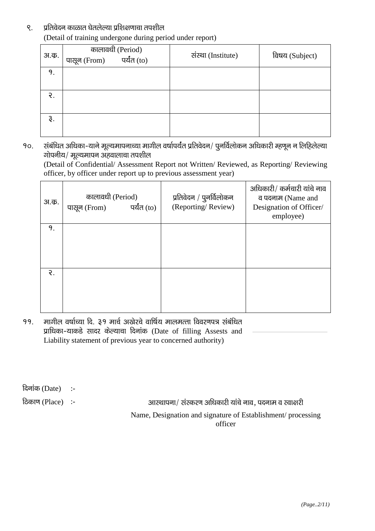#### ९. प्रतिवेदन काळात घेतलेल्या प्रशिक्षणाचा तपशील (Detail of training undergone during period under report)

| अ.क. | कालावधी (Period)<br>नेrom) पर्यंत (to)<br>पासून (From) | संस्था (Institute) | विषय (Subject) |
|------|--------------------------------------------------------|--------------------|----------------|
| 9.   |                                                        |                    |                |
| ર.   |                                                        |                    |                |
| ३.   |                                                        |                    |                |

90. संबंधित अधिका-याने मूल्यमापनाच्या मागील वर्षापर्यंत प्रतिवेदन/ पुनर्विलोकन अधिकारी म्हणून न लिहिलेल्या  $\overline{v}$ गोपनीय/ मूल्यमापन अहवालाचा तपशील

(Detail of Confidential/ Assessment Report not Written/ Reviewed, as Reporting/ Reviewing officer, by officer under report up to previous assessment year)

| <b>31.</b> क.   | कालावधी (Period)<br>पर्यंत (to)<br>पासून (From) | प्रतिवेदन / पुनर्विलोकन<br>(Reporting/Review) | अधिकारी/ कर्मचारी यांचे नाव<br>व पदनाम (Name and<br>Designation of Officer/<br>employee) |
|-----------------|-------------------------------------------------|-----------------------------------------------|------------------------------------------------------------------------------------------|
| 9.              |                                                 |                                               |                                                                                          |
|                 |                                                 |                                               |                                                                                          |
|                 |                                                 |                                               |                                                                                          |
| $\mathcal{E}$ . |                                                 |                                               |                                                                                          |
|                 |                                                 |                                               |                                                                                          |
|                 |                                                 |                                               |                                                                                          |

99. मागील वर्षाच्या दि. ३१ मार्च अखेरचे वार्षिय मालमत्ता विवरणपत्र संबंधित प्राधिका-याकडे सादर केल्याचा दिनांक (Date of filling Assests and Liability statement of previous year to concerned authority)

दिनांक $(Date)$  :-

fdकाण (Place) :- vkcharel :- vkcharel :- vkcharel ; अस्थापना / संस्करण अधिकारी यांचे नाव, पदनाम व स्वाक्षरी

Name, Designation and signature of Establishment/ processing officer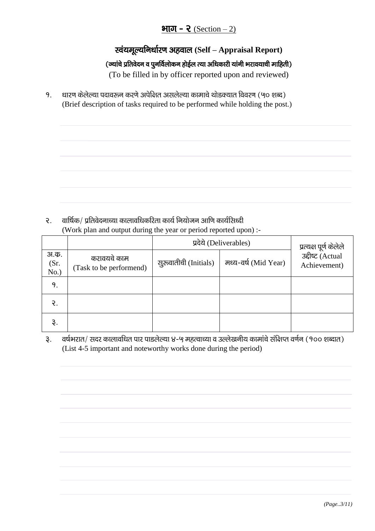# भाग - २ (Section  $- 2$ )

# **स्वंयमूल्यनिर्धारण अहवाल (Self – Appraisal Report)**

### (ज्यांचे प्रतिवेदन व पुनर्विलोकन होईल त्या अधिकारी यांनी भरावयाची माहिती)

(To be filled in by officer reported upon and reviewed)

<u>9. धारण केलेल्या पदावरून करणे अपेक्षित असलेल्या कामाचे थोडक्यात विवरण (५० शब्द)</u> (Brief description of tasks required to be performed while holding the post.)

 $2.$  alb $6$ क/ प्रतिवेदनाच्या कालावधिकरिता कार्य नियोजन आणि कार्यसिध्दी (Work plan and output during the year or period reported upon) :-

|                      |                                        | प्रदेये (Deliverables) | प्रत्यक्ष पूर्ण केलेले |                                  |  |
|----------------------|----------------------------------------|------------------------|------------------------|----------------------------------|--|
| अ.क.<br>(Sr.<br>No.) | करावयचे काम<br>(Task to be performend) | सुरुवातीची (Initials)  | मध्य-वर्ष (Mid Year)   | उद्दीष्ट (Actual<br>Achievement) |  |
| 9.                   |                                        |                        |                        |                                  |  |
| ₹.                   |                                        |                        |                        |                                  |  |
| $\mathfrak{F}.$      |                                        |                        |                        |                                  |  |

३. वर्षभरात/ सदर कालावधित पार पाडलेल्या ४-५ महत्वाच्या व उल्लेखनीय कामांचे संक्षिप्त वर्णन (१०० शब्दात) (List 4-5 important and noteworthy works done during the period)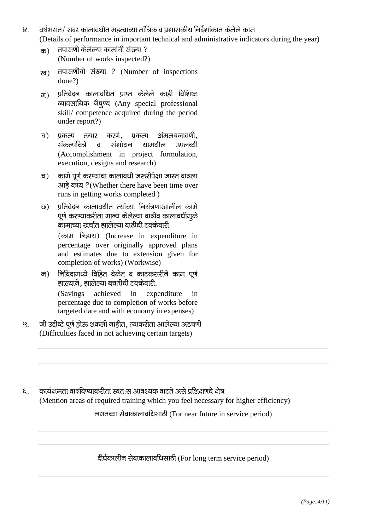- $8.$  aर्षभरात/ सदर कालावधीत महत्वाच्या तांत्रिक व प्रशासकीय निर्देशांकात केलेले काम (Details of performance in important technical and administrative indicators during the year)
	- $\overline{a}$ ) तपासणी केलेल्या कामांची संख्या ? (Number of works inspected?)
	- <sub>ख)</sub> तपासणींची संख्या ? (Number of inspections done?)
	- $\sigma$ ) प्रतिवेदन कालावधित प्राप्त केलेले काही विशिष्ट त्यावसायिक नैपुण्य (Any special professional skill/ competence acquired during the period under report?)
	- घ) प्रकल्प तयार करणे. प्रकल्प अंमलबजावणी. संकल्पचित्रे व संशोधन यामधील उपलब्धी (Accomplishment in project formulation, execution, designs and research)
	- च) कामे पूर्ण करण्याचा कालावधी जरुरीपेक्षा जास्त वाढला आहे काय ?(Whether there have been time over runs in getting works completed )
	- छ) प्रतिवेदन कालावधीत त्यांच्या नियंत्रणाखालील कामे पूर्ण करण्याकरीता मान्य केलेल्या वाढीव कालावधीमूळे ्<br>कामाच्या खर्चात झालेल्या वाढीची टक्केवारी (काम निहाय) (Increase in expenditure in percentage over originally approved plans and estimates due to extension given for completion of works) (Workwise)
	- ज) विविदामध्ये विहित वेळेत व काटकसरीने काम पुर्ण झाल्याने, झालेल्या बचतीची टक्केवारी. (Savings achieved in expenditure in percentage due to completion of works before targeted date and with economy in expenses)
- '९. जी उद्दीष्टे पूर्ण होऊ शकली नाहीत, त्याकरीता आलेल्या अडचणी (Difficulties faced in not achieving certain targets)
- $\epsilon$ . कार्यक्षमता वाढविण्याकरीता स्वतःस आवश्यक वाटते असे प्रशिक्षणचे क्षेत्र (Mention areas of required training which you feel necessary for higher efficiency)

लगतच्या सेवाकालावधिसाठी (For near future in service period)

दीर्घकालीन सेवाकालावधिसाठी (For long term service period)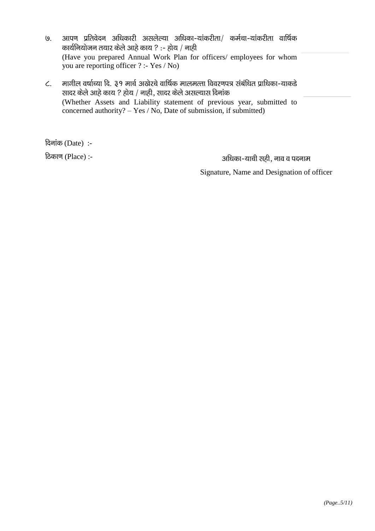- ७. आपण प्रतिवेदन अधिकारी असलेल्या अधिका-यांकरीता/ कर्मचा-यांकरीता वार्षिक कार्यनियोजन तयार केले आहे काय ? :- होय / नाही (Have you prepared Annual Work Plan for officers/ employees for whom you are reporting officer ? :- Yes / No)
- $\epsilon$ . मागील वर्षाच्या दि. ३१ मार्च अखेरचे वार्षिक मालमत्ता विवरणपत्र संबंधित प्राधिका-याकडे सादर केले आहे काय ? होय / नाही, सादर केले असल्यास दिनांक (Whether Assets and Liability statement of previous year, submitted to concerned authority? – Yes / No, Date of submission, if submitted)

 $\hat{\sigma}$ दिनांक (Date):-

6िकाण (Place) :- vf/kdk and the settle of the settle of the settle of the settle of the settle of the settle o

Signature, Name and Designation of officer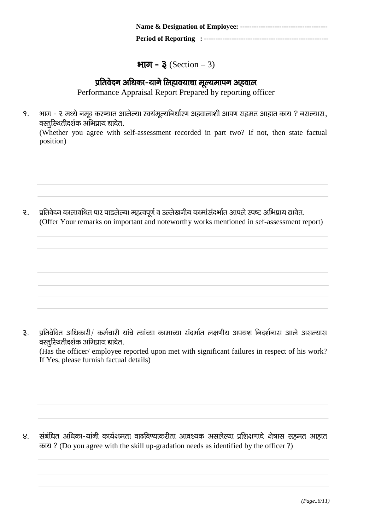### $\mathbf{H}$ ur –  $\mathbf{\frac{3}}$  (Section – 3)

# प्रतिवेदन अधिका-याने लिहावयाचा मूल्यमापन अहवाल

Performance Appraisal Report Prepared by reporting officer

१. भाग - २ मध्ये नमूद करण्यात आलेल्या स्वयंमूल्यनिर्धारण अहवालाशी आपण सहमत आहात काय ? नसल्यास,  $a$ रतुरिथतीदर्शक अभिप्राय द्यावेत.

(Whether you agree with self-assessment recorded in part two? If not, then state factual position)

२. प्रतिवेदन कालावधित पार पाडलेल्या महत्वपूर्ण व उल्लेखनीय कामांसंदर्भात आपले स्पष्ट अभिप्राय द्यावेत. (Offer Your remarks on important and noteworthy works mentioned in sef-assessment report)

३. प्रतिवेदित अधिकारी/ कर्मचारी यांचे त्यांच्या कामाच्या संदर्भात लक्षणीय अपयश निदर्शनास आले असल्यास वस्तूरिथतीदर्शक अभिप्राय द्यावेत.

(Has the officer/ employee reported upon met with significant failures in respect of his work? If Yes, please furnish factual details)

४. संबंधित अधिका-यांनी कार्यक्षमता वाढविण्याकरीता आवश्यक असलेल्या प्रशिक्षणाचे क्षेत्रास सहमत आहात काय ? (Do you agree with the skill up-gradation needs as identified by the officer ?)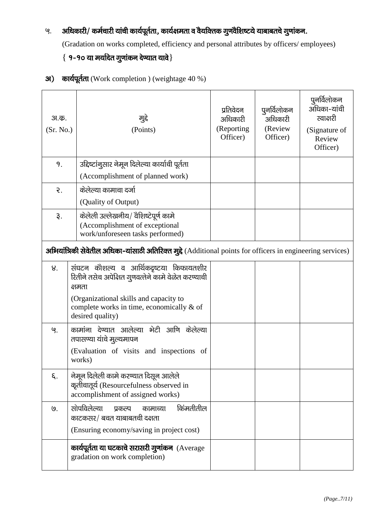# ५. अधिकारी/ कर्मचारी यांची कार्यपूर्तता, कार्यक्षमता व वैयक्तिक गुणवैशिष्टये याबाबतचे गुणांकन.

(Gradation on works completed, efficiency and personal attributes by officers/ employees)

# $\{9 - 90$  या मर्यादेत गुणांकन देण्यात यावे $\}$

| अ.क.<br>(Sr. No.) | मुद्दे<br>(Points)                                                                                                                                                                                                 | प्रतिवेदन<br>अधिकारी<br>(Reporting<br>Officer) | पुनर्विलोकन<br>अधिकारी<br>(Review<br>Officer) | पुनर्विलोकन<br>अधिका-यांची<br>स्वाक्षरी<br>(Signature of<br>Review<br>Officer) |
|-------------------|--------------------------------------------------------------------------------------------------------------------------------------------------------------------------------------------------------------------|------------------------------------------------|-----------------------------------------------|--------------------------------------------------------------------------------|
| 9.                | उद्दिष्टांनुसार नेमून दिलेल्या कार्याची पूर्तता                                                                                                                                                                    |                                                |                                               |                                                                                |
|                   | (Accomplishment of planned work)                                                                                                                                                                                   |                                                |                                               |                                                                                |
| $\mathcal{E}$ .   | केलेल्या कामाचा दर्जा                                                                                                                                                                                              |                                                |                                               |                                                                                |
|                   | (Quality of Output)                                                                                                                                                                                                |                                                |                                               |                                                                                |
| રૂ.               | केलेली उल्लेखनीय/ वैशिष्टेपूर्ण कामे<br>(Accomplishment of exceptional<br>work/unforeseen tasks performed)                                                                                                         |                                                |                                               |                                                                                |
|                   | अभियांत्रिकी सेवेतील अधिका-यांसाठी अतिरिक्त मुद्दे (Additional points for officers in engineering services)                                                                                                        |                                                |                                               |                                                                                |
| 8.                | संघटन कौशल्य व आर्थिकदृष्टया किफायतशीर<br>रितीने तसेच अपेक्षित गुणवत्तेने कामे वेळेत करण्याची<br>क्षमता<br>(Organizational skills and capacity to<br>complete works in time, economically & of<br>desired quality) |                                                |                                               |                                                                                |
| ଓ.                | कामांना देण्यात आलेल्या भेटी आणि केलेल्या<br>तपासण्या यांचे मुल्यमापन<br>(Evaluation of visits and inspections of<br>works)                                                                                        |                                                |                                               |                                                                                |
| ξ.                | नेमून दिलेली कामे करण्यात दिसून आलेले<br>कृतीचातूर्य (Resourcefulness observed in<br>accomplishment of assigned works)                                                                                             |                                                |                                               |                                                                                |
| $\overline{9}$ .  | सोपविलेल्या<br>किंमतीतील<br>प्रकल्प<br>कामाच्या<br>काटकसर/ बचत याबाबतची दक्षता                                                                                                                                     |                                                |                                               |                                                                                |
|                   | (Ensuring economy/saving in project cost)                                                                                                                                                                          |                                                |                                               |                                                                                |
|                   | कार्यपूर्तता या घटकाचे सरासरी गुणांकन (Average<br>gradation on work completion)                                                                                                                                    |                                                |                                               |                                                                                |

31) कार्यपूर्तता (Work completion ) (weightage 40 %)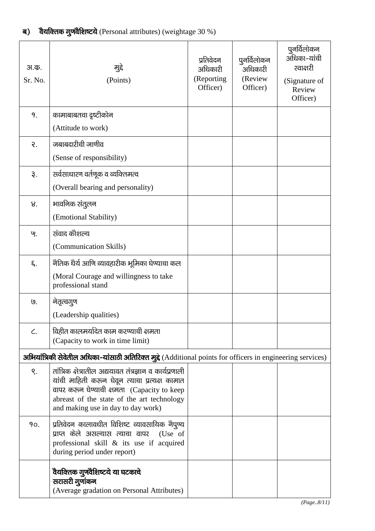| अ.क.<br>Sr. No. | मुद्दे<br>(Points)                                                                                                                                                                                                                           | प्रतिवेदन<br>अधिकारी<br>(Reporting<br>Officer) | पुनर्विलोकन<br>अधिकारी<br>(Review<br>Officer) | पुनर्विलोकन<br>अधिका-यांची<br>स्वाक्षरी<br>(Signature of<br>Review<br>Officer) |
|-----------------|----------------------------------------------------------------------------------------------------------------------------------------------------------------------------------------------------------------------------------------------|------------------------------------------------|-----------------------------------------------|--------------------------------------------------------------------------------|
| 9.              | कामाबाबतचा दृष्टीकोन                                                                                                                                                                                                                         |                                                |                                               |                                                                                |
|                 | (Attitude to work)                                                                                                                                                                                                                           |                                                |                                               |                                                                                |
| $\mathcal{E}.$  | जबाबदारीची जाणीव                                                                                                                                                                                                                             |                                                |                                               |                                                                                |
|                 | (Sense of responsibility)                                                                                                                                                                                                                    |                                                |                                               |                                                                                |
| રૂ.             | सर्वसाधारण वर्तणूक व व्यक्तिमत्व                                                                                                                                                                                                             |                                                |                                               |                                                                                |
|                 | (Overall bearing and personality)                                                                                                                                                                                                            |                                                |                                               |                                                                                |
| 8.              | भावनिक संतुलन                                                                                                                                                                                                                                |                                                |                                               |                                                                                |
|                 | (Emotional Stability)                                                                                                                                                                                                                        |                                                |                                               |                                                                                |
| ଓ.              | संवाद कौशल्य                                                                                                                                                                                                                                 |                                                |                                               |                                                                                |
|                 | (Communication Skills)                                                                                                                                                                                                                       |                                                |                                               |                                                                                |
| ξ.              | नैतिक धैर्य आणि व्यावहारीक भूमिका घेण्याचा कल                                                                                                                                                                                                |                                                |                                               |                                                                                |
|                 | (Moral Courage and willingness to take<br>professional stand                                                                                                                                                                                 |                                                |                                               |                                                                                |
| ७.              | नेतृत्वगुण                                                                                                                                                                                                                                   |                                                |                                               |                                                                                |
|                 | (Leadership qualities)                                                                                                                                                                                                                       |                                                |                                               |                                                                                |
| $\mathcal{L}$ . | विहीत कालमर्यादेत काम करण्याची क्षमता<br>(Capacity to work in time limit)                                                                                                                                                                    |                                                |                                               |                                                                                |
|                 | अभियांत्रिकी सेवेतील अधिका-यांसाठी अतिरिक्त मुद्दे (Additional points for officers in engineering services)                                                                                                                                  |                                                |                                               |                                                                                |
| S.              | तांत्रिक क्षेत्रातील अद्ययावत तंत्रज्ञान व कार्यप्रणाली<br>यांची माहिती करून घेवून त्याचा प्रत्यक्ष कामात<br>वापर करुन घेण्याची क्षमता (Capacity to keep<br>abreast of the state of the art technology<br>and making use in day to day work) |                                                |                                               |                                                                                |
| 90.             | प्रतिवेदन कालावधीत विशिष्ट व्यावसायिक नैपुण्य<br>प्राप्त केले असल्यास त्याचा वापर (Use of<br>professional skill $\&$ its use if acquired<br>during period under report)                                                                      |                                                |                                               |                                                                                |
|                 | वैयक्तिक गुणवैशिष्टये या घटकाचे<br>सरासरी गुणांकन<br>(Average gradation on Personal Attributes)                                                                                                                                              |                                                |                                               |                                                                                |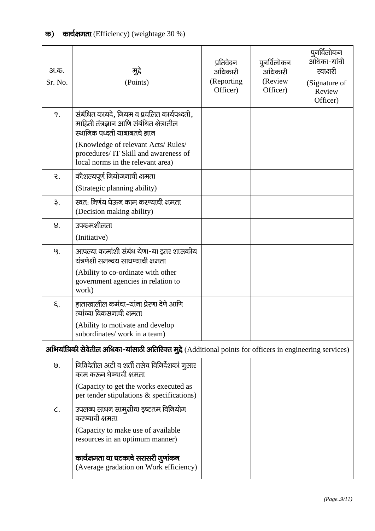# क) कार्यक्षमता (Efficiency) (weightage  $30\%$ )

| अ.क.<br>Sr. No. | मुद्दे<br>(Points)                                                                                                       | प्रतिवेदन<br>अधिकारी<br>(Reporting<br>Officer) | पुनर्विलोकन<br>अधिकारी<br>(Review<br>Officer) | पुनर्विलोकन<br>अधिका-यांची<br>स्वाक्षरी<br>(Signature of<br>Review<br>Officer) |
|-----------------|--------------------------------------------------------------------------------------------------------------------------|------------------------------------------------|-----------------------------------------------|--------------------------------------------------------------------------------|
| 9.              | संबंधित कायदे, नियम व प्रचलित कार्यपध्दती,<br>माहिती तंत्रज्ञान आणि संबंधित क्षेत्रातील<br>स्थानिक पध्दती याबाबतचे ज्ञान |                                                |                                               |                                                                                |
|                 | (Knowledge of relevant Acts/Rules/<br>procedures/ IT Skill and awareness of<br>local norms in the relevant area)         |                                                |                                               |                                                                                |
| $\mathcal{E}.$  | कोशल्यपूर्ण नियोजनाची क्षमता                                                                                             |                                                |                                               |                                                                                |
|                 | (Strategic planning ability)                                                                                             |                                                |                                               |                                                                                |
| રૂ.             | स्वत: निर्णय घेऊन काम करण्याची क्षमता<br>(Decision making ability)                                                       |                                                |                                               |                                                                                |
| 8.              | उपक्रमशीलता                                                                                                              |                                                |                                               |                                                                                |
|                 | (Initiative)                                                                                                             |                                                |                                               |                                                                                |
| ଓ.              | आपल्या कामांशी संबंध येणा-या इतर शासकीय<br>यंत्रणेशी समन्वय साधण्याची क्षमता                                             |                                                |                                               |                                                                                |
|                 | (Ability to co-ordinate with other<br>government agencies in relation to<br>work)                                        |                                                |                                               |                                                                                |
| ξ.              | हाताखालील कर्मचा-यांना प्रेरणा देणे आणि<br>त्यांच्या विकसनाची क्षमता                                                     |                                                |                                               |                                                                                |
|                 | (Ability to motivate and develop<br>subordinates/ work in a team)                                                        |                                                |                                               |                                                                                |
|                 | अभियांत्रिकी सेवेतील अधिका-यांसाठी अतिरिक्त मुद्दे (Additional points for officers in engineering services)              |                                                |                                               |                                                                                |
| ७.              | निविदेतील अटी व शर्ती तसेच विनिर्देशकां नुसार<br>काम करून घेण्याची क्षमता                                                |                                                |                                               |                                                                                |
|                 | (Capacity to get the works executed as<br>per tender stipulations $\&$ specifications)                                   |                                                |                                               |                                                                                |
| C.              | उपलब्ध साधन सामुग्रीचा इष्टतम विनियोग<br>करण्याची क्षमता                                                                 |                                                |                                               |                                                                                |
|                 | (Capacity to make use of available<br>resources in an optimum manner)                                                    |                                                |                                               |                                                                                |
|                 | कार्यक्षमता या घटकाचे सरासरी गुणांकन<br>(Average gradation on Work efficiency)                                           |                                                |                                               |                                                                                |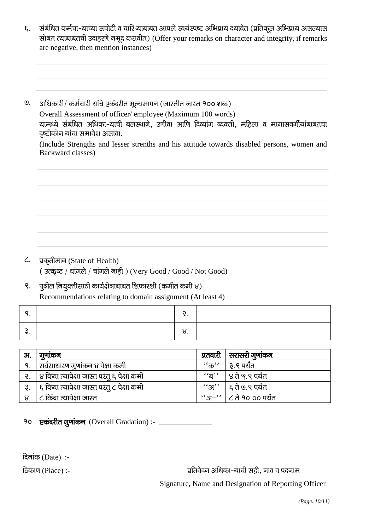- संबंधित कर्मचा-याच्या सचोटी व चारित्र्याबाबत आपले स्वयंस्पष्ट अभिप्राय दयावेत (प्रतिकूल अभिप्राय असल्यास ξ. सोबत त्याबाबतची उदाहरणे नमूद करावीत) (Offer your remarks on character and integrity, if remarks are negative, then mention instances)
- $(9)$ अधिकारी/ कर्मचारी यांचे एकंदरीत मूल्यमापन (जास्तीत जास्त १०० शब्द) Overall Assessment of officer/employee (Maximum 100 words) यामध्ये संबंधित अधिका-याची बलस्थाने, उणीवा आणि दिव्यांग व्यक्ती, महिला व मागासवर्गीयांबाबतचा दृष्टीकोन यांचा समावेश असावा.

(Include Strengths and lesser strenths and his attitude towards disabled persons, women and Backward classes)

- प्रकृतीमान (State of Health)  $\mathcal{L}$ . (उत्कृष्ट / चांगले / चांगले नाही) (Very Good / Good / Not Good)
- पूढील नियुक्तीसाठी कार्यक्षेत्राबाबत शिफारशी (कमीत कमी ४)  $\zeta$ . Recommendations relating to domain assignment (At least 4)

|  | <u></u> |  |
|--|---------|--|
|  | ပ.      |  |

| अ. | गुणाकन                                           | प्रतवारी | सरासरी गुणांकन                      |
|----|--------------------------------------------------|----------|-------------------------------------|
| 9. | सर्वसाधारण गुणांकन ४ पेक्षा कमी                  | $``$ क'' | ३.९ पर्यंत                          |
|    | २.   ४ किंवा त्यापेक्षा जास्त परंतु ६ पेक्षा कमी |          | ''ब''   ४ ते ५.९ पर्यंत             |
|    | ६ किंवा त्यापेक्षा जास्त परंतु ८ पेक्षा कमी      |          | ''अ''   ६ ते ७.९ पर्यंत             |
| ४. | ८ किंवा त्यापेक्षा जास्त                         |          | $``3H"$ $ $ $\zeta$ ते १०.०० पर्यंत |

१० एकंदरीत गुणांकन (Overall Gradation) :- \_\_\_\_\_\_\_\_\_\_\_\_

दिनांक (Date):-

ठिकाण (Place) :-

प्रतिवेदन अधिका-याची सही, नाव व पदनाम

Signature, Name and Designation of Reporting Officer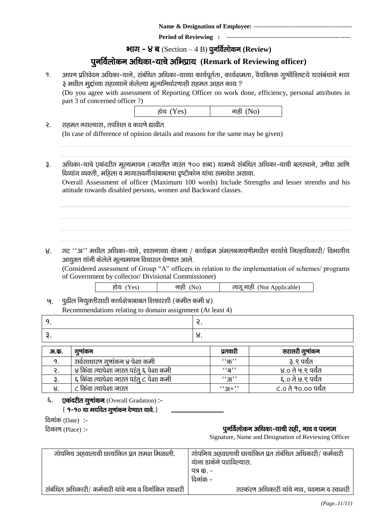|--|--|

**Period of Reviewing :** 

#### **भाग - ४ ब** (Section – 4 B) **पूनर्विलोकन (Review)**

# पुनर्विलोकन अधिका-याचे अभिप्राय**(Remark of Reviewing officer**)

१. अापण प्रतिवेदन अधिका-याने, संबंधित अधिका-याच्या कार्यपूर्तता, कार्यक्षमता, वैयक्तिक गूणवैशिष्टये यासंबंधाने भाग ३ मधील मुद्दांच्या सहाय्याने केलेल्या मूल्यनिर्धारणाशी सहमत आहत काय ?

(Do you agree with assessment of Reporting Officer on work done, efficiency, personal attributes in part 3 of concerned officer ?)

| होय (Yes) | नाही (No) |
|-----------|-----------|
|-----------|-----------|

- २. सहमत नसल्यास, तपशिल व कारणे द्यावीत (In case of difference of opinion details and reasons for the same may be given)
- ३. अधिका-याचे एकंदरीत मुल्यमापन (जास्तीत जास्त १०० शब्द) यामध्ये संबंधित अधिका-याची बलस्थाने, उणीवा आणि f दिव्यांग व्यक्ती, महिला व मागासवर्गीयांबाबतचा दृष्टीकोन यांचा समावेश असावा.

Overall Assessment of officer (Maximum 100 words) Include Strengths and lesser strenths and his attitude towards disabled persons, women and Backward classes.

 $8.$  गट ''अ'' मधील अधिका-याचे, शासनाच्या योजना / कार्यक्रम अंमलबजावणीमधील कार्याचे जिल्हाधिकारी/ विभागीय आयुक्त यांनी केलेले मूल्यमापन विचारात घेण्यात आले.

(Considered assessment of Group "A" officers in relation to the implementation of schemes/ programs of Government by collector/ Divisional Commissioner)

|--|

 $\mathbf{Q}_1$  पढील नियक्तीसाठी कार्यक्षेत्राबाबत शिफारशी (कमीत कमी ४) Recommendations relating to domain assignment (At least 4)

| <u>.</u> |
|----------|
|          |

| अ.क. | गुणाकन                                      | प्रतवारी          | सरासरी गुणांकन      |
|------|---------------------------------------------|-------------------|---------------------|
|      | सर्वसाधारण गूणांकन ४ पेक्षा कमी             | $``\overline{a}"$ | ३.९ पर्यंत          |
|      | ४ किंवा त्यापेक्षा जास्त परंतु ६ पेक्षा कमी | $\cdot$ 'ন্ন''    | ४.० ते ५.९ पर्यंत   |
|      | ६ किंवा त्यापेक्षा जास्त परंतु ८ पेक्षा कमी | 5.31,             | ६.० ते ७.९ पर्यंत   |
|      | ८ किंवा त्यापेक्षा जास्त                    | $``3+"$           | ८.० ते १०.०० पर्यंत |

६. **एकंदरीत गूणांकन** (Overall Gradation) :- $\{9 - 90$  या मर्यादेत गुणांकन देण्यात यावे.}

 $f$ दिनांक (Date):-

#### $f_{\rm 0}$ िकाण (Place) :- iquestion in uncertainty of the state of  $\bf q$ नर्विलोकन अधिका-याची सही, नाव व पदनाम

Signature, Name and Designation of Reviewing Officer

| गोपनिय अहवालाची छायांकित प्रत समक्ष मिळाली.              | गोपनिय अहवालाची छायांकित प्रत संबंधित अधिकारी/ कर्मचारी |
|----------------------------------------------------------|---------------------------------------------------------|
|                                                          | यांना डाकेने पाठविल्यास.                                |
|                                                          | पत्र क. -                                               |
|                                                          | दिनांक -                                                |
| संबंधित अधिकारी/ कर्मचारी यांचे नाव व दिनांकित स्वाक्षरी | सरकंरण अधिकारी यांचे नाव, पदनाम व स्वाक्षरी             |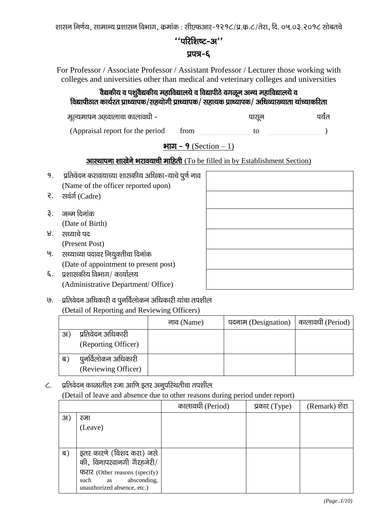शासन निर्णय, सामान्य प्रशासन विभाग, कमांक : सीएफआर-१२१८/प्र.क.८/तेरा, दि. ०५.०३.२०१८ सोबतचे

### $\lq$ 'ukken $\mathbf{c}$ -31''

#### प्रपत्र-६

For Professor / Associate Professor / Assistant Professor / Lecturer those working with colleges and universities other than medical and veterinary colleges and universities

# .<br>वैद्यकीय व पशुवैद्यकीय महाविद्यालये व विद्यापीठे वगळून अन्य महाविद्यालये व विद्यापीठात कार्यरत प्राध्यापक/सहयोगी प्राध्यापक/ सहायक प्राध्यापक/ अधिव्याख्याता यांच्याकरिता

ewY;ekiu vgokykpk dkyko/kh & iklwu Ik;Zar

(Appraisal report for the period from to to )  $\overline{\phantom{0}}$ 

## <u>भाग - 9 (Section – 1)</u>

### आस्थापना शाखेने भरावयाची माहिती (To be filled in by Establishment Section)

- १. प्रतिवेदन करावयाच्या शासकीय अधिका-याचे पूर्ण नाव (Name of the officer reported upon)
- २. सवंर्ग (Cadre)
- ३. जन्म दिनांक (Date of Birth)
- $8.$  सध्याचे पद (Present Post)
- '९. सध्याच्या पदावर नियुक्तीचा दिनांक (Date of appointment to present post)
- $\xi$ . प्रशासकीय विभाग/ कार्यालय (Administrative Department/ Office)

७. प्रतिवेदन अधिकारी व पूनर्विलोकन अधिकारी यांचा तपशील (Detail of Reporting and Reviewing Officers)

|     |                     | नाव (Name) | पदनाम (Designation) | कालावधी (Period) |
|-----|---------------------|------------|---------------------|------------------|
| 3I) | प्रतिवेदन अधिकारी   |            |                     |                  |
|     | (Reporting Officer) |            |                     |                  |
| ब   | पूनर्विलोकन अधिकारी |            |                     |                  |
|     | (Reviewing Officer) |            |                     |                  |

 $c.$  प्रतिवेदन काळातील रजा आणि इतर अनुपरिथतीचा तपशील

(Detail of leave and absence due to other reasons during period under report)

|     |                                                                                           | कालावधी (Period) | प्रकार $(Type)$ | (Remark) शेरा |
|-----|-------------------------------------------------------------------------------------------|------------------|-----------------|---------------|
| 31) | रजा                                                                                       |                  |                 |               |
|     | (Leave)                                                                                   |                  |                 |               |
|     |                                                                                           |                  |                 |               |
| ब)  | इतर कारणे (विशद करा) जसे<br>की, विनापरवानगी गैरहजेरी/                                     |                  |                 |               |
|     | फरार (Other reasons (specify)<br>absconding,<br>such<br>as<br>unauthorized absence, etc.) |                  |                 |               |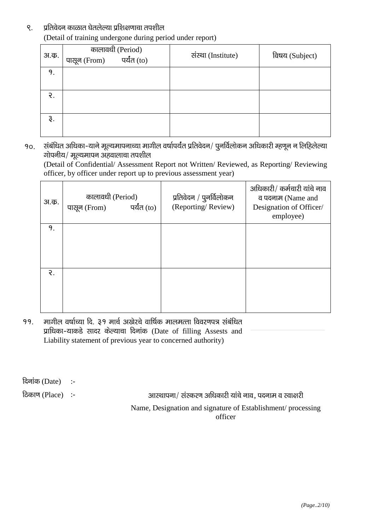#### ९. प्रतिवेदन काळात घेतलेल्या प्रशिक्षणाचा तपशील (Detail of training undergone during period under report)

| अ.क. | कालावधी (Period)<br>नेrom) पर्यंत (to)<br>पासून (From) | संस्था (Institute) | विषय (Subject) |
|------|--------------------------------------------------------|--------------------|----------------|
| 9.   |                                                        |                    |                |
| ર.   |                                                        |                    |                |
| ३.   |                                                        |                    |                |

90. संबंधित अधिका-याने मूल्यमापनाच्या मागील वर्षापर्यंत प्रतिवेदन/ पुनर्विलोकन अधिकारी म्हणून न लिहिलेल्या  $\overline{v}$ गोपनीय/ मूल्यमापन अहवालाचा तपशील

(Detail of Confidential/ Assessment Report not Written/ Reviewed, as Reporting/ Reviewing officer, by officer under report up to previous assessment year)

| अ.क. | कालावधी (Period)<br>पर्यंत (to)<br>पासून (From) | प्रतिवेदन / पुनर्विलोकन<br>(Reporting/Review) | अधिकारी/ कर्मचारी यांचे नाव<br>व पदनाम (Name and<br>Designation of Officer/<br>employee) |
|------|-------------------------------------------------|-----------------------------------------------|------------------------------------------------------------------------------------------|
| 9.   |                                                 |                                               |                                                                                          |
|      |                                                 |                                               |                                                                                          |
|      |                                                 |                                               |                                                                                          |
|      |                                                 |                                               |                                                                                          |
| ર.   |                                                 |                                               |                                                                                          |
|      |                                                 |                                               |                                                                                          |
|      |                                                 |                                               |                                                                                          |
|      |                                                 |                                               |                                                                                          |

99. मागील वर्षाच्या दि. ३१ मार्च अखेरचे वार्षिक मालमत्ता विवरणपत्र संबंधित प्राधिका-याकडे सादर केल्याचा दिनांक (Date of filling Assests and Liability statement of previous year to concerned authority)

दिनांक $(Date)$  :-

fdकाण (Place) :- vkchare inuke o Sureau alalah inuke o Lokate o Lokate o Lokate o Lokate o Lokate o Lokate o L

Name, Designation and signature of Establishment/ processing officer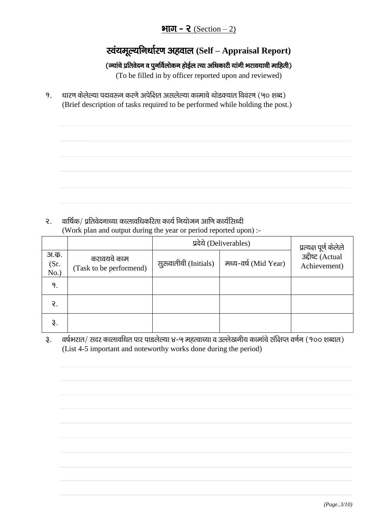## भाग - २ (Section  $- 2$ )

# **स्वंयमूल्यनिर्धारण अहवाल (Self – Appraisal Report)**

# (ज्यांचे प्रतिवेदन व पुनर्विलोकन होईल त्या अधिकारी यांनी भरावयाची माहिती)

(To be filled in by officer reported upon and reviewed)

<u>9. धारण केलेल्या पदावरून करणे अपेक्षित असलेल्या कामाचे थोडक्यात विवरण (५० शब्द)</u> (Brief description of tasks required to be performed while holding the post.)

 $\Omega$ . aार्षिक/ प्रतिवेदनाच्या कालावधिकरिता कार्य नियोजन आणि कार्यसिध्दी (Work plan and output during the year or period reported upon) :-

|                      |                                        | प्रदेये (Deliverables) |                      | प्रत्यक्ष पूर्ण केलेले           |
|----------------------|----------------------------------------|------------------------|----------------------|----------------------------------|
| अ.क.<br>(Sr.<br>No.) | करावयचे काम<br>(Task to be performend) | सुरुवातीची (Initials)  | मध्य-वर्ष (Mid Year) | उद्दीष्ट (Actual<br>Achievement) |
| 9.                   |                                        |                        |                      |                                  |
| ₹.                   |                                        |                        |                      |                                  |
| 3.                   |                                        |                        |                      |                                  |

३. वर्षभरात/ सदर कालावधित पार पाडलेल्या ४-५ महत्वाच्या व उल्लेखनीय कामांचे संक्षिप्त वर्णन (१०० शब्दात) (List 4-5 important and noteworthy works done during the period)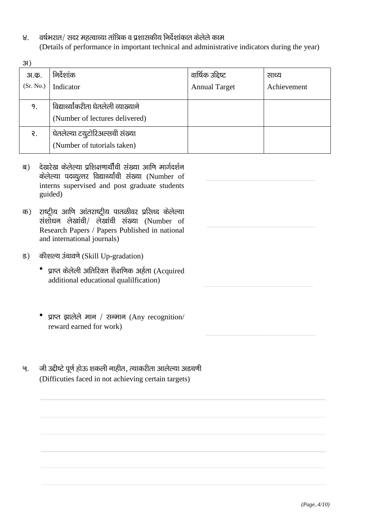वर्षभरात/ सदर महत्वाच्या तांत्रिक व प्रशासकीय निर्देशांकात केलेले काम  $8<sub>1</sub>$ (Details of performance in important technical and administrative indicators during the year)

| 3I)       |                                       |                      |             |
|-----------|---------------------------------------|----------------------|-------------|
| अ.क.      | निर्देशांक                            | वार्षिक उद्दिष्ट     | साध्य       |
| (Sr. No.) | Indicator                             | <b>Annual Target</b> | Achievement |
|           |                                       |                      |             |
| 9.        | विद्यार्थ्यांकरीता घेतलेली व्याख्याने |                      |             |
|           | (Number of lectures delivered)        |                      |             |
| ર.        | घेतलेल्या टयुटोरिअल्सची संख्या        |                      |             |
|           | (Number of tutorials taken)           |                      |             |

- देखरेख केलेल्या प्रशिक्षणार्थीची संख्या आणि मार्गदर्शन ब) केलेल्या पदव्यत्तर विद्यार्थ्यांची संख्या (Number of interns supervised and post graduate students guided)
- राष्ट्रीय आणि आंतराष्ट्रीय पातळीवर प्रसिध्द केलेल्या क) संशोधन लेखांची/ लेखांची संख्या (Number of Research Papers / Papers Published in national and international journals)
- कौशल्य उंचावणे (Skill Up-gradation)  $\overline{5}$ )
	- प्राप्त केलेली अतिरिक्त शैक्षणिक अर्हता (Acquired additional educational qualilfication)
	- प्राप्त झालेले मान / सन्मान (Any recognition/ reward earned for work)
- जी उद्दीष्टे पूर्ण होऊ शकली नाहीत, त्याकरीता आलेल्या अडचणी ଓ. (Difficuties faced in not achieving certain targets)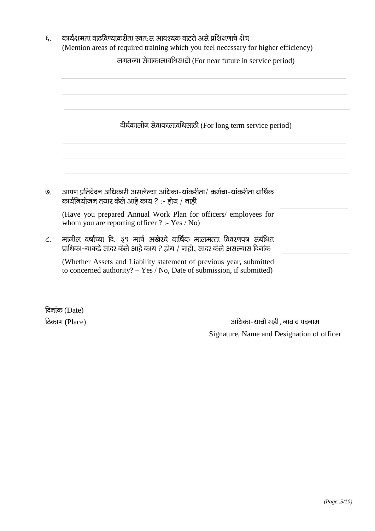| कार्यक्षमता वाढविण्याकरीता स्वत:स आवश्यक वाटते असे प्रशिक्षणाचे क्षेत्र<br>(Mention areas of required training which you feel necessary for higher efficiency) |
|----------------------------------------------------------------------------------------------------------------------------------------------------------------|
| लगतच्या सेवाकालावधिसाठी (For near future in service period)                                                                                                    |
|                                                                                                                                                                |
| दीर्घकालीन सेवाकालावधिसाठी (For long term service period)                                                                                                      |
|                                                                                                                                                                |
| आपण प्रतिवेदन अधिकारी असलेल्या अधिका-यांकरीता/ कर्मचा-यांकरीता वार्षिक<br>कार्यनियोजन तयार केले आहे काय ? :- होय / नाही                                        |
| (Have you prepared Annual Work Plan for officers/employees for<br>whom you are reporting officer $?$ :- Yes / No)                                              |
| मागील वर्षाच्या दि. ३१ मार्च अखेरचे वार्षिक मालमत्ता विवरणपत्र संबंधित<br>प्राधिका-याकडे सादर केले आहे काय ? होय / नाही, सादर केले असल्यास दिनांक              |
| (Whether Assets and Liability statement of previous year, submitted<br>to concerned authority? $-$ Yes / No, Date of submission, if submitted)                 |

दिनांक (Date) ठिकाण (Place)

अधिका-याची सही, नाव व पदनाम Signature, Name and Designation of officer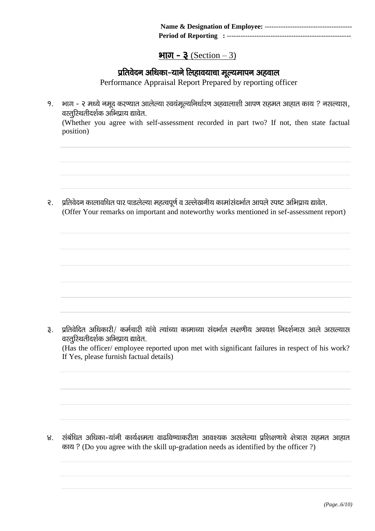### $\mathbf{H}\overline{\mathbf{U}}$  –  $\mathbf{\overline{3}}$  (Section – 3)

# प्रतिवेदन अधिका-याने लिहावयाचा मूल्यमापन अहवाल

Performance Appraisal Report Prepared by reporting officer

१. भाग - २ मध्ये नमूद करण्यात आलेल्या स्वयंमूल्यनिर्धारण अहवालाशी आपण सहमत आहात काय ? नसल्यास, वस्तुरिथतीदर्शक अभिप्राय द्यावेत.

(Whether you agree with self-assessment recorded in part two? If not, then state factual position)

२. प्रतिवेदन कालावधित पार पाडलेल्या महत्वपूर्ण व उल्लेखनीय कामांसंदर्भात आपले स्पष्ट अभिप्राय द्यावेत. (Offer Your remarks on important and noteworthy works mentioned in sef-assessment report)

3. प्रतिवेदित अधिकारी/ कर्मचारी यांचे त्यांच्या कामाच्या संदर्भात लक्षणीय अपयश निदर्शनास आले असल्यास वस्तुरिथतीदर्शक अभिप्राय द्यावेत.

(Has the officer/ employee reported upon met with significant failures in respect of his work? If Yes, please furnish factual details)

४. संबंधित अधिका-यांनी कार्यक्षमता वाढविण्याकरीता आवश्यक असलेल्या प्रशिक्षणाचे क्षेत्रास सहमत आहात काय ? (Do you agree with the skill up-gradation needs as identified by the officer ?)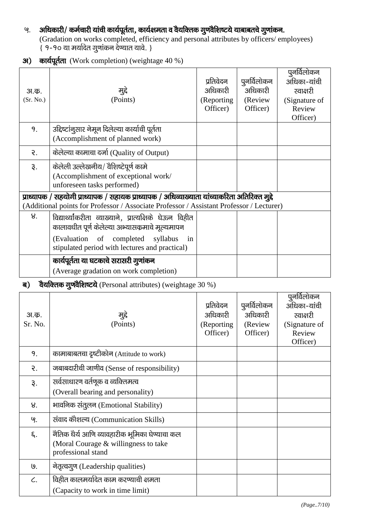# ५. अधिकारी/ कर्मचारी यांची कार्यपूर्तता, कार्यक्षमता व वैयक्तिक गुणवैशिष्टये याबाबतचे गुणांकन.

(Gradation on works completed, efficiency and personal attributes by officers/ employees)  $\{9 - 90$  या मर्यादेत गुणांकन देण्यात यावे. }

31) कार्यपूर्तता (Work completion) (weightage 40 %)

| अ.क.<br>(Sr. No.) | मुद्दे<br>(Points)                                                                                                                                                                         | प्रतिवेदन<br>अधिकारी<br>(Reporting<br>Officer) | पूनर्विलोकन<br>अधिकारी<br>(Review)<br>Officer) | पुनर्विलोकन<br>अधिका-यांची<br>स्वाक्षरी<br>(Signature of<br>Review<br>Officer) |
|-------------------|--------------------------------------------------------------------------------------------------------------------------------------------------------------------------------------------|------------------------------------------------|------------------------------------------------|--------------------------------------------------------------------------------|
| 9.                | उद्दिष्टांनूसार नेमून दिलेल्या कार्याची पूर्तता<br>(Accomplishment of planned work)                                                                                                        |                                                |                                                |                                                                                |
| ર.                | केलेल्या कामाचा दर्जा (Quality of Output)                                                                                                                                                  |                                                |                                                |                                                                                |
| રૂ.               | केलेली उल्लेखनीय/ वैशिष्टेपूर्ण कामे<br>(Accomplishment of exceptional work/<br>unforeseen tasks performed)                                                                                |                                                |                                                |                                                                                |
|                   | प्राध्यापक / सहयोगी प्राध्यापक / सहायक प्राध्यापक / अधिव्याख्याता यांच्याकरिता अतिरिक्त मुद्दे<br>(Additional points for Professor / Associate Professor / Assistant Professor / Lecturer) |                                                |                                                |                                                                                |
| 8 <sub>1</sub>    | विद्यार्थ्यांकरीता व्याख्याने, प्रात्यक्षिके घेऊन विहीत<br>कालावधीत पूर्ण केलेल्या अभ्यासक्रमाचे मूल्यमापन                                                                                 |                                                |                                                |                                                                                |
|                   | (Evaluation of completed syllabus<br>in<br>stipulated period with lectures and practical)                                                                                                  |                                                |                                                |                                                                                |
|                   | कार्यपूर्तता या घटकाचे सरासरी गुणांकन<br>(Average gradation on work completion)                                                                                                            |                                                |                                                |                                                                                |

### ब) वैयक्तिक गुणवैशिष्टये (Personal attributes) (weightage 30 %)

| अ.क.<br>Sr. No.  | मुद्दे<br>(Points)                                                                                          | प्रतिवेदन<br>अधिकारी<br>(Reporting<br>Officer) | पुनर्विलोकन<br>अधिकारी<br>(Review<br>Officer) | पुनर्विलोकन<br>अधिका-यांची<br>स्वाक्षरी<br>(Signature of<br>Review<br>Officer) |
|------------------|-------------------------------------------------------------------------------------------------------------|------------------------------------------------|-----------------------------------------------|--------------------------------------------------------------------------------|
| 9.               | कामाबाबतचा दृष्टीकोन (Attitude to work)                                                                     |                                                |                                               |                                                                                |
| ર.               | जबाबदारीची जाणीव (Sense of responsibility)                                                                  |                                                |                                               |                                                                                |
| રૂ.              | सर्वसाधारण वर्तणूक व व्यक्तिमत्व<br>(Overall bearing and personality)                                       |                                                |                                               |                                                                                |
| 8.               | भावनिक संतुलन (Emotional Stability)                                                                         |                                                |                                               |                                                                                |
| ଓ.               | संवाद कौशल्य (Communication Skills)                                                                         |                                                |                                               |                                                                                |
| ξ.               | नैतिक धैर्य आणि व्यावहारीक भूमिका घेण्याचा कल<br>(Moral Courage & willingness to take<br>professional stand |                                                |                                               |                                                                                |
| $\overline{9}$ . | नेतृत्वगुण (Leadership qualities)                                                                           |                                                |                                               |                                                                                |
| C.               | विहीत कालमर्यादेत काम करण्याची क्षमता<br>(Capacity to work in time limit)                                   |                                                |                                               |                                                                                |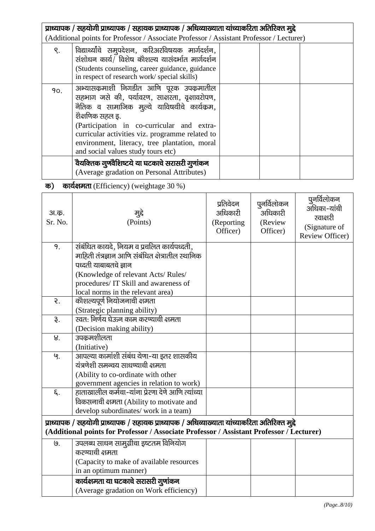| प्राध्यापक / सहयोगी प्राध्यापक / सहायक प्राध्यापक / अधिव्याख्याता यांच्याकरिता अतिरिक्त मुद्दे |                                                                                                                                                                                                                                                                                                                                                  |  |  |  |  |
|------------------------------------------------------------------------------------------------|--------------------------------------------------------------------------------------------------------------------------------------------------------------------------------------------------------------------------------------------------------------------------------------------------------------------------------------------------|--|--|--|--|
|                                                                                                | (Additional points for Professor / Associate Professor / Assistant Professor / Lecturer)                                                                                                                                                                                                                                                         |  |  |  |  |
| S.                                                                                             | विद्यार्थ्यांचे समुपदेशन, करिअरविषयक मार्गदर्शन,<br>संशोधन कार्य/ विशेष कौशल्य यासंदर्भात मार्गदर्शन<br>(Students counseling, career guidance, guidance<br>in respect of research work/ special skills)                                                                                                                                          |  |  |  |  |
| 90.                                                                                            | अभ्यासकमाशी निगडीत आणि पूरक उपकमातील<br>सहभाग जसे की, पर्यावरण, साक्षरता, वृक्षावरोपण,<br>नैतिक व सामाजिक मुल्ये याविषयीचे कार्यक्रम,<br>शेक्षणिक सहल इ.<br>(Participation in co-curricular and extra-<br>curricular activities viz. programme related to<br>environment, literacy, tree plantation, moral<br>and social values study tours etc) |  |  |  |  |
|                                                                                                | वैयक्तिक गुणवैशिष्टये या घटकाचे सरासरी गुणांकन<br>(Average gradation on Personal Attributes)                                                                                                                                                                                                                                                     |  |  |  |  |

# क) कार्यक्षमता (Efficiency) (weightage  $30\%$ )

| अ.क.<br>Sr. No. | मुद्दे<br>(Points)                                                                             | प्रतिवेदन<br>अधिकारी<br>(Reporting<br>Officer) | पुनर्विलोकन<br>अधिकारी<br>(Review<br>Officer) | पुनर्विलोकन<br>अधिका-यांची<br>स्वाक्षरी<br>(Signature of<br>Review Officer) |
|-----------------|------------------------------------------------------------------------------------------------|------------------------------------------------|-----------------------------------------------|-----------------------------------------------------------------------------|
| 9.              | संबंधित कायदे, नियम व प्रचलित कार्यपध्दती,                                                     |                                                |                                               |                                                                             |
|                 | माहिती तंत्रज्ञान आणि संबंधित क्षेत्रातील स्थानिक<br>पध्दती याबाबतचे ज्ञान                     |                                                |                                               |                                                                             |
|                 | (Knowledge of relevant Acts/Rules/                                                             |                                                |                                               |                                                                             |
|                 | procedures/ IT Skill and awareness of                                                          |                                                |                                               |                                                                             |
|                 | local norms in the relevant area)                                                              |                                                |                                               |                                                                             |
| $\mathcal{E}$ . | कौशल्यपूर्ण नियोजनाची क्षमता                                                                   |                                                |                                               |                                                                             |
|                 | (Strategic planning ability)                                                                   |                                                |                                               |                                                                             |
| $\mathfrak{F}.$ | स्वत: निर्णय घेऊन काम करण्याची क्षमता                                                          |                                                |                                               |                                                                             |
|                 | (Decision making ability)                                                                      |                                                |                                               |                                                                             |
| 8.              | उपक्रमशीलता                                                                                    |                                                |                                               |                                                                             |
|                 | (Initiative)                                                                                   |                                                |                                               |                                                                             |
| ଓ.              | आपल्या कामांशी संबंध येणा-या इतर शासकीय                                                        |                                                |                                               |                                                                             |
|                 | यंत्रणेशी समन्वय साधण्याची क्षमता                                                              |                                                |                                               |                                                                             |
|                 | (Ability to co-ordinate with other                                                             |                                                |                                               |                                                                             |
|                 | government agencies in relation to work)                                                       |                                                |                                               |                                                                             |
| ξ.              | हाताखालील कर्मचा-यांना प्रेरणा देणे आणि त्यांच्या                                              |                                                |                                               |                                                                             |
|                 | विकसनाची क्षमता (Ability to motivate and                                                       |                                                |                                               |                                                                             |
|                 | develop subordinates/ work in a team)                                                          |                                                |                                               |                                                                             |
|                 | प्राध्यापक / सहयोगी प्राध्यापक / सहायक प्राध्यापक / अधिव्याख्याता यांच्याकरिता अतिरिक्त मुद्दे |                                                |                                               |                                                                             |
|                 | (Additional points for Professor / Associate Professor / Assistant Professor / Lecturer)       |                                                |                                               |                                                                             |
| ७.              | उपलब्ध साधन सामुग्रीचा इष्टतम विनियोग                                                          |                                                |                                               |                                                                             |
|                 | करण्याची क्षमता                                                                                |                                                |                                               |                                                                             |
|                 | (Capacity to make of available resources                                                       |                                                |                                               |                                                                             |
|                 | in an optimum manner)                                                                          |                                                |                                               |                                                                             |
|                 | कार्यक्षमता या घटकाचे सरासरी गुणांकन                                                           |                                                |                                               |                                                                             |
|                 | (Average gradation on Work efficiency)                                                         |                                                |                                               |                                                                             |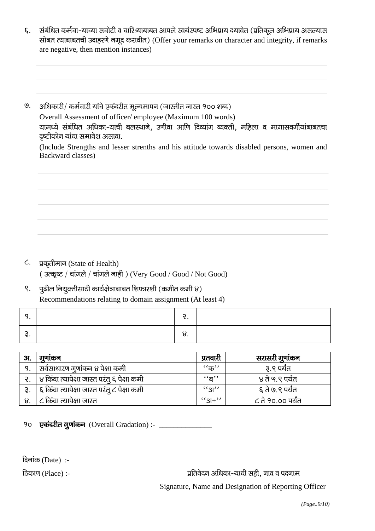- संबंधित कर्मचा-याच्या सचोटी व चारित्र्याबाबत आपले स्वयंस्पष्ट अभिप्राय दयावेत (प्रतिकूल अभिप्राय असल्यास  $\epsilon$ . सोबत त्याबाबतची उदाहरणे नमूद करावीत) (Offer your remarks on character and integrity, if remarks are negative, then mention instances)
- अधिकारी/ कर्मचारी यांचे एकंदरीत मूल्यमापन (जास्तीत जास्त १०० शब्द)  $\overline{9}$ . Overall Assessment of officer/employee (Maximum 100 words) यामध्ये संबंधित अधिका-याची बलस्थाने, उणीवा आणि दिव्यांग व्यक्ती, महिला व मागासवर्गीयांबाबतचा दृष्टीकोन यांचा समावेश असावा.

(Include Strengths and lesser strenths and his attitude towards disabled persons, women and Backward classes)

- ८. प्रकृतीमान (State of Health) (उत्कृष्ट / चांगले / चांगले नाही) (Very Good / Good / Not Good)
- पूढील नियुक्तीसाठी कार्यक्षेत्राबाबत शिफारशी (कमीत कमी ४)  $\mathsf{R}$ . Recommendations relating to domain assignment (At least 4)

|  | J. |  |
|--|----|--|

| 31. | गुणाकन                                      | प्रतवारी                    | सरासरी गुणांकन    |
|-----|---------------------------------------------|-----------------------------|-------------------|
| 9.  | सर्वसाधारण गुणांकन ४ पेक्षा कमी             | $``$ क''                    | ३.९ पर्यंत        |
|     | ४ किंवा त्यापेक्षा जास्त परंतु ६ पेक्षा कमी | $``\overline{a}"$           | ४ ते ५.९ पर्यंत   |
|     | ६ किंवा त्यापेक्षा जास्त परंतु ८ पेक्षा कमी | $\mathcal{L}$ $\mathcal{L}$ | ६ ते ७.९ पर्यंत   |
|     | ८ किंवा त्यापेक्षा जास्त                    | $``3+"$                     | ८ ते १०.०० पर्यंत |

90 एकंदरीत गूणांकन (Overall Gradation) :- \_\_\_\_\_\_\_\_\_\_\_\_\_\_\_

दिनांक (Date):-

ठिकाण (Place) :-

प्रतिवेदन अधिका-याची सही. नाव व पदनाम

Signature, Name and Designation of Reporting Officer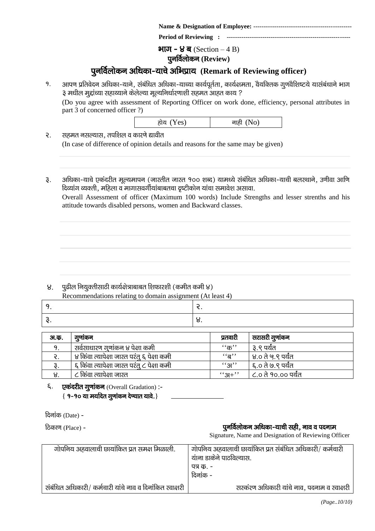|--|--|

**Period of Reviewing : -----------------------**

 $\mathcal{H}$ ।  $\mathcal{H} = \mathcal{H}$   $\mathcal{H}$  (Section – 4 B) **पुनर्विलोकन (Review)** 

# पुनर्विलोकन अधिका-याचे अभिप्राय**् Remark of Reviewing officer**)

१. अापण प्रतिवेदन अधिका-याने, संबंधित अधिका-याच्या कार्यपूर्तता, कार्यक्षमता, वैयक्तिक गूणवैशिष्टये यासंबंधाने भाग ३ मधील मुद्दांच्या सहाय्याने केलेल्या मूल्यनिर्धारणाशी सहमत आहत काय ?

(Do you agree with assessment of Reporting Officer on work done, efficiency, personal attributes in part 3 of concerned officer ?)

| होय (Yes) | नाही (No) |
|-----------|-----------|
|-----------|-----------|

२. सहमत नसल्यास, तपशिल व कारणे द्यावीत (In case of difference of opinion details and reasons for the same may be given)

३. अधिका-याचे एकंदरीत मूल्यमापन (जास्तीत जास्त १०० शब्द) यामध्ये संबंधित अधिका-याची बलस्थाने, उणीवा आणि दिव्यांग व्यक्ती, महिला व मागासवर्गीयांबाबतचा दृष्टीकोन यांचा समावेश असावा.

Overall Assessment of officer (Maximum 100 words) Include Strengths and lesser strenths and his attitude towards disabled persons, women and Backward classes.

### $8.$  पूढील नियुक्तीसाठी कार्यक्षेत्राबाबत शिफारशी (कमीत कमी ४)

Recommendations relating to domain assignment (At least 4)

| C         | - |
|-----------|---|
| I 2<br>∵. |   |

| अ.क. | गुणाकन                                      | प्रतवारी                   | सरासरी गुणांकन      |
|------|---------------------------------------------|----------------------------|---------------------|
| q    | सर्वसाधारण गूणांकन ४ पेक्षा कमी             | $``$ क $"$                 | ३.९ पर्यंत          |
|      | ४ किंवा त्यापेक्षा जास्त परंतू ६ पेक्षा कमी | $\mathfrak{g}$             | ४.० ते ५.९ पर्यंत   |
|      | ६ किंवा त्यापेक्षा जास्त परंतु ८ पेक्षा कमी | $\mathcal{L}(\mathcal{A})$ | -६.० ते ७.९ पर्यंत  |
|      | ८ किंवा त्यापेक्षा जास्त                    | $``3+"$                    | ८.० ते १०.०० पर्यंत |

६. एकंदरीत गूणांकन (Overall Gradation) :- $\{9 - 9$ ० या मर्यादेत गूणांकन देण्यात यावे.}

 $f$ दिनांक (Date) -

#### $f_{\text{B}}$ कित्रण (Place) - iquestion in the intervals of the intervals of  $\mathbf{q}$  and  $\mathbf{q}$  and  $\mathbf{q}$  in the intervals of  $\mathbf{q}$  and  $\mathbf{q}$  in the intervals of  $\mathbf{q}$  and  $\mathbf{q}$  is a intervals of  $\mathbf{q}$  i

Signature, Name and Designation of Reviewing Officer

| गोपनिय अहवालाची छायांकित प्रत समक्ष मिळाली.              | गोपनिय अहवालाची छायांकित प्रत संबंधित अधिकारी/ कर्मचारी<br>यांना डाकेने पाठविल्यास.<br>पत्र क. -<br>दिनांक - |
|----------------------------------------------------------|--------------------------------------------------------------------------------------------------------------|
| संबंधित अधिकारी/ कर्मचारी यांचे नाव व दिनांकित स्वाक्षरी | सरकंरण अधिकारी यांचे नाव, पदनाम व स्वाक्षरी                                                                  |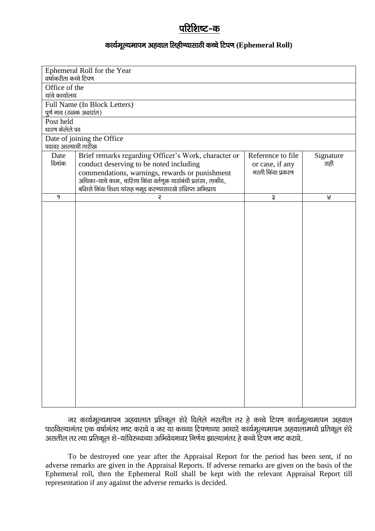# परिशिष्ट-क

### कार्यमूल्यमापन अहवाल लिहीण्यासाठी कच्चे टिपण (Ephemeral Roll)

| Ephemeral Roll for the Year<br>वर्षाकरीता कच्चे टिपण |                                                                                                                    |                   |                  |  |  |  |  |
|------------------------------------------------------|--------------------------------------------------------------------------------------------------------------------|-------------------|------------------|--|--|--|--|
| Office of the                                        |                                                                                                                    |                   |                  |  |  |  |  |
| यांचे कार्यालय                                       |                                                                                                                    |                   |                  |  |  |  |  |
|                                                      | Full Name (In Block Letters)                                                                                       |                   |                  |  |  |  |  |
| पुर्ण नाव (ठळक अक्षरांत)                             |                                                                                                                    |                   |                  |  |  |  |  |
| Post held                                            |                                                                                                                    |                   |                  |  |  |  |  |
| धारण केलेले पद                                       |                                                                                                                    |                   |                  |  |  |  |  |
|                                                      | Date of joining the Office                                                                                         |                   |                  |  |  |  |  |
| पदावर आल्याची तारीख                                  |                                                                                                                    |                   |                  |  |  |  |  |
| Date                                                 | Brief remarks regarding Officer's Work, character or                                                               | Reference to file | Signature        |  |  |  |  |
| दिनांक                                               | conduct deserving to be noted including                                                                            | or case, if any   | सही              |  |  |  |  |
|                                                      | commendations, warnings, rewards or punishment<br>अधिका-याचे काम, चारित्र्य किंवा वर्तणूक यासंबंधी प्रशंसा, ताकीद, | नरती किंवा प्रकरण |                  |  |  |  |  |
|                                                      | बक्षिसे किंवा शिक्षा यांसह नमूद करण्यासारखे संक्षिप्त अभिप्राय                                                     |                   |                  |  |  |  |  |
| 9                                                    | ર                                                                                                                  | ३                 | $\boldsymbol{8}$ |  |  |  |  |
|                                                      |                                                                                                                    |                   |                  |  |  |  |  |
|                                                      |                                                                                                                    |                   |                  |  |  |  |  |
|                                                      |                                                                                                                    |                   |                  |  |  |  |  |
|                                                      |                                                                                                                    |                   |                  |  |  |  |  |
|                                                      |                                                                                                                    |                   |                  |  |  |  |  |
|                                                      |                                                                                                                    |                   |                  |  |  |  |  |
|                                                      |                                                                                                                    |                   |                  |  |  |  |  |
|                                                      |                                                                                                                    |                   |                  |  |  |  |  |
|                                                      |                                                                                                                    |                   |                  |  |  |  |  |
|                                                      |                                                                                                                    |                   |                  |  |  |  |  |
|                                                      |                                                                                                                    |                   |                  |  |  |  |  |
|                                                      |                                                                                                                    |                   |                  |  |  |  |  |
|                                                      |                                                                                                                    |                   |                  |  |  |  |  |
|                                                      |                                                                                                                    |                   |                  |  |  |  |  |
|                                                      |                                                                                                                    |                   |                  |  |  |  |  |
|                                                      |                                                                                                                    |                   |                  |  |  |  |  |
|                                                      |                                                                                                                    |                   |                  |  |  |  |  |
|                                                      |                                                                                                                    |                   |                  |  |  |  |  |
|                                                      |                                                                                                                    |                   |                  |  |  |  |  |
|                                                      |                                                                                                                    |                   |                  |  |  |  |  |
|                                                      |                                                                                                                    |                   |                  |  |  |  |  |
|                                                      |                                                                                                                    |                   |                  |  |  |  |  |
|                                                      |                                                                                                                    |                   |                  |  |  |  |  |

जर कार्यमूल्यमापन अहवालात प्रतिकूल शेरे दिलेले नसतील तर हे कच्चे टिपण कार्यमूल्यमापन अहवाल <u>.</u><br>Bikariy ,diko qikari ,diko o tik karaj diko dikotari ikari qish iki qish qiki qish dha biki qish qik qiki qish असतील तर त्या प्रतिकूल शे-यांविरुध्दच्या अभिवेदनावर निर्णय झाल्यानंतर हे कच्चे टिपण नष्ट करावे.

To be destroyed one year after the Appraisal Report for the period has been sent, if no adverse remarks are given in the Appraisal Reports. If adverse remarks are given on the basis of the Ephemeral roll, then the Ephemeral Roll shall be kept with the relevant Appraisal Report till representation if any against the adverse remarks is decided.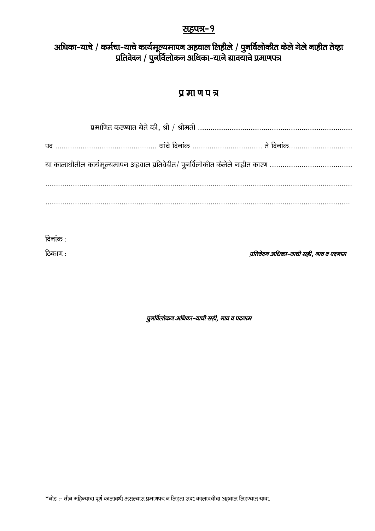### <u>सहपत्र-9</u>

# अधिका-याचे / कर्मचा-याचे कार्यमूल्यमापन अहवाल लिहीले / पुनर्विलोकीत केले गेले नाहीत तेव्हा प्रतिवेदन / पुनर्विलोकन अधिका-याने द्यावयाचे प्रमाणपत्र

# प्र मा ण पत्र

| या कालाधीतील कार्यमूल्यमापन अहवाल प्रतिवेदीत/ पुनर्विलोकीत केलेले नाहीत कारण |  |
|------------------------------------------------------------------------------|--|
|                                                                              |  |
|                                                                              |  |

 $\overline{\mathsf{G}}$ नांक :

.<br>हिकाण : बाद्धा पर कार्यकर कार्यकर कर कार्यकर कर कार्यकर कर कार्यकर प्रतिवेदन अधिका-याची सही, नाव व पदनाम

पुनर्विलोकन अधिका-याची सही, नाव व पदनाम

 $*$ नोट :- तीन महिन्याचा पूर्ण कालावधी असल्यास प्रमाणपत्र न लिहता सदर कालावधीचा अहवाल लिहण्यात यावा.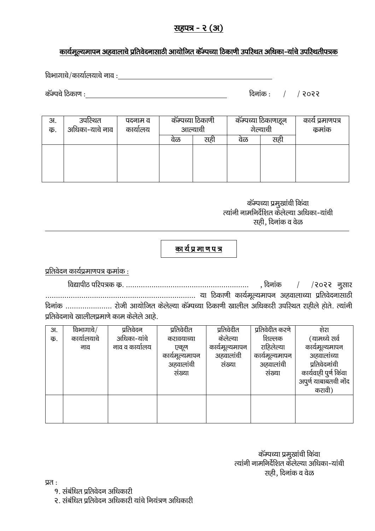# सहपत्र - २ (अ)

# कार्यमूल्यमापन अहवालाचे प्रतिवेदनासाठी आयोजित कॅम्पच्या ठिकाणी उपस्थित अधिका-यांचे उपस्थितीपत्रक

foHkkxkps@dk;kZy;kps uko %

dWEips fBdk.k % fnukad % @ @ 2022

| 3I.<br>क. | उपरिथत<br>अधिका-याचे नाव | पदनाम व<br>कार्यालय | कॅम्पच्या ठिकाणी<br>आल्याची |     | कॅम्पच्या ठिकाणाहून<br>गेल्याची |     | कार्य प्रमाणपत्र<br>कुमाक |
|-----------|--------------------------|---------------------|-----------------------------|-----|---------------------------------|-----|---------------------------|
|           |                          |                     | वळ                          | सहा | वळ                              | सह। |                           |
|           |                          |                     |                             |     |                                 |     |                           |
|           |                          |                     |                             |     |                                 |     |                           |
|           |                          |                     |                             |     |                                 |     |                           |
|           |                          |                     |                             |     |                                 |     |                           |

कॅम्पच्या प्रमुखांची किंवा त्यांनी नामनिर्देशित केलेल्या अधिका-यांची सही, दिनांक व वेळ

# का र्य प्र मा ण प त्र

प्रतिवेदन कार्यप्रमाणपत्र कुमांक $:$ 

fo|kihB ifji=d dz- ---------------------------------------------------------- ] fnukad @ @2022 uqlkj ----------------------------------------------------------------------- ;k fBdk.kh dk;ZewY;ekiu vgokykP;k izfrosnuklkBh दिनांक ........................ रोजी आयोजित केलेल्या कॅम्पच्या ठिकाणी खालील अधिकारी उपरिथत राहीले होते. त्यांनी प्रतिवेदनाचे खालीलप्रमाणे काम केलेले आहे.

| 3I. | विभागाचे $/$ | प्रतिवेदन      | प्रतिवेदीत     | प्रतिवेदीत     | प्रतिवेदीत करणे | शेरा                  |
|-----|--------------|----------------|----------------|----------------|-----------------|-----------------------|
| क.  | कार्यालयाचे  | अधिका-यांचे    | करावयाच्या     | केलेल्या       | शिल्लक          | (यामध्ये सर्व         |
|     | नाव          | नाव व कार्यालय | एकूण           | कार्यमूल्यमापन | राहिलेल्या      | कार्यमूल्यमापन        |
|     |              |                | कार्यमूल्यमापन | अहवालांची      | कार्यमूल्यमापन  | अहवालांच्या           |
|     |              |                | अहवालांची      | संख्या         | अहवालांची       | प्रतिवेदनांची         |
|     |              |                | संख्या         |                | संख्या          | कार्यवाही पुर्ण किंवा |
|     |              |                |                |                |                 | अपूर्ण याबाबतची नोंद  |
|     |              |                |                |                |                 | करावी)                |
|     |              |                |                |                |                 |                       |
|     |              |                |                |                |                 |                       |
|     |              |                |                |                |                 |                       |

| कॅम्पच्या प्रमुखांची किंवा                |
|-------------------------------------------|
| त्यांनी नामनिर्देशित केलेल्या अधिका-यांची |
| सही, दिनांक व वेळ                         |

 $\overline{y}$ 

- 9. संबंधित प्रतिवेदन अधिकारी
- २. संबंधित प्रतिवेदन अधिकारी यांचे नियंत्रण अधिकारी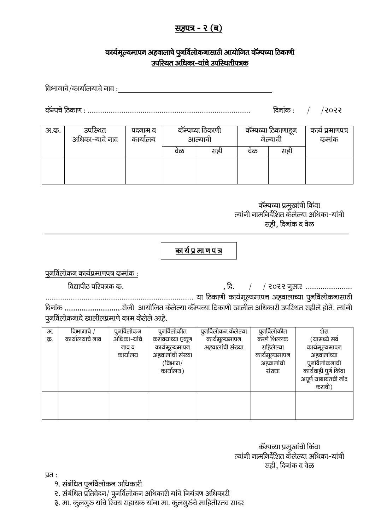# सहपत्र - २ (ब)

### कार्यमूल्यमापन अहवालाचे पुनर्विलोकनासाठी आयोजित कॅम्पच्या ठिकाणी उपस्थित अधिका-यांचे उपस्थितीपत्रक

विभागाचे/कार्यालयाचे नाव : $\frac{d}{dx}$ 

dWEips fBdk.k % ----------------------------------------------------------------------------- fnukad % @ @2022

| अ.क. | उपस्थित<br>अधिका-याचे नाव | पदनाम व<br>कार्यालय | कॅम्पच्या ठिकाणी<br>आल्याची |     | कॅम्पच्या ठिकाणाहून<br>गेल्याची |     | कार्य प्रमाणपत्र<br>कुमांक |
|------|---------------------------|---------------------|-----------------------------|-----|---------------------------------|-----|----------------------------|
|      |                           |                     | वळ                          | सही | वळ                              | सही |                            |
|      |                           |                     |                             |     |                                 |     |                            |
|      |                           |                     |                             |     |                                 |     |                            |

कॅम्पच्या प्रमुखांची किंवा त्यांनी नामनिर्देशित केलेल्या अधिका-यांची सही. दिनांक व वेळ

# का र्य प्र मा ण प त्र

 $q$ नर्विलोकन कार्यप्रमाणपत्र कुमांक $\,$  :

fo|kihB ifji=d dz- ] fn- @ @ 2022 uqlkj ----------------------

---------------------------------------------------------------------- ;k fBdk.kh dk;ZewY;ekiu vgokykP;k iqufoZyksduklkBh ..<br>दिनांक .............................रोजी आयोजित केलेल्या कॅम्पच्या ठिकाणी खालील अधिकारी उपस्थित राहीले होते. त्यांनी पुनर्विलोकनाचे खालीलप्रमाणे काम केलेले आहे.

| 3J. | विभागाचे /      | पूनर्विलोकन | पुनर्विलोकीत     | पूनर्विलोकन केलेल्या | पुनर्विलोकीत   | शेरा                  |
|-----|-----------------|-------------|------------------|----------------------|----------------|-----------------------|
| क.  | कार्यालयाचे नाव | अधिका-यांचे | करावयाच्या एकूण  | कार्यमूल्यमापन       | करणे शिल्लक    | (यामध्ये सर्व         |
|     |                 | नाव व       | कार्यमूल्यमापन   | अहवालांची संख्या     | राहिलेल्या     | कार्यमूल्यमापन        |
|     |                 | कार्यालय    | अहवालांची संख्या |                      | कार्यमूल्यमापन | अहवालांच्या           |
|     |                 |             | (विभाग/          |                      | अहवालांची      | पूनर्विलोकनाची        |
|     |                 |             | कार्यालय)        |                      | संख्या         | कार्यवाही पूर्ण किंवा |
|     |                 |             |                  |                      |                | अपूर्ण याबाबतची नोंद  |
|     |                 |             |                  |                      |                | करावी)                |
|     |                 |             |                  |                      |                |                       |
|     |                 |             |                  |                      |                |                       |
|     |                 |             |                  |                      |                |                       |
|     |                 |             |                  |                      |                |                       |

कॅम्पच्या प्रमुखांची किंवा त्यांनी नामनिर्देशित केलेल्या अधिका-यांची सही, दिनांक व वेळ

 $\overline{u}$ .

- 9. संबंधित पूनर्विलोकन अधिकारी
- २. संबंधित प्रतिवेदन/ पूनर्विलोकन अधिकारी यांचे नियंत्रण अधिकारी
- ३. मा. कुलगुरु यांचे स्विय सहायक यांना मा. कुलगुरुंचे माहितीस्तव सादर